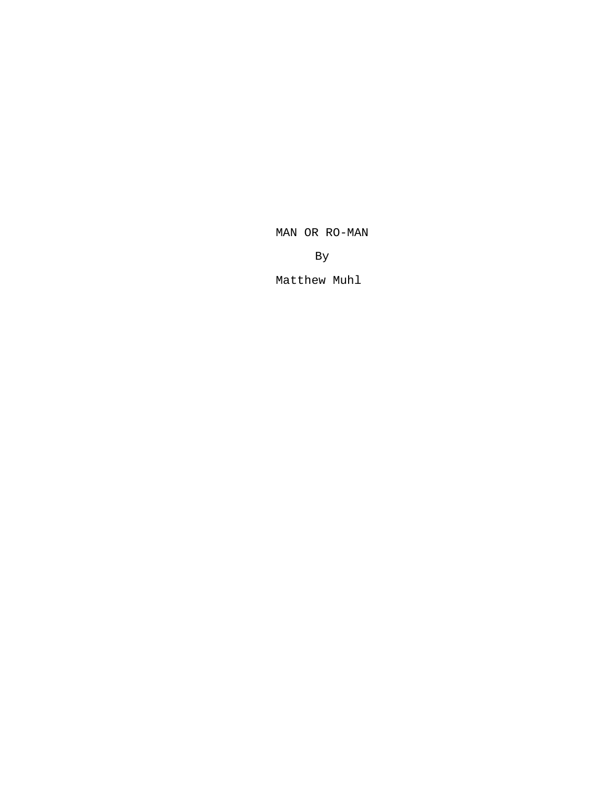MAN OR RO-MAN

By

Matthew Muhl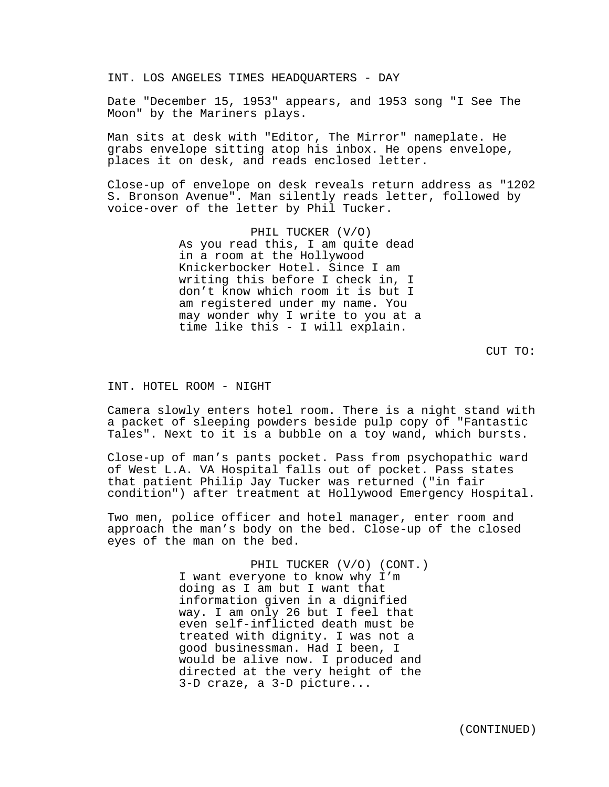INT. LOS ANGELES TIMES HEADQUARTERS - DAY

Date "December 15, 1953" appears, and 1953 song "I See The Moon" by the Mariners plays.

Man sits at desk with "Editor, The Mirror" nameplate. He grabs envelope sitting atop his inbox. He opens envelope, places it on desk, and reads enclosed letter.

Close-up of envelope on desk reveals return address as "1202 S. Bronson Avenue". Man silently reads letter, followed by voice-over of the letter by Phil Tucker.

> PHIL TUCKER (V/O) As you read this, I am quite dead in a room at the Hollywood Knickerbocker Hotel. Since I am writing this before I check in, I don't know which room it is but I am registered under my name. You may wonder why I write to you at a time like this - I will explain.

> > CUT TO:

### INT. HOTEL ROOM - NIGHT

Camera slowly enters hotel room. There is a night stand with a packet of sleeping powders beside pulp copy of "Fantastic Tales". Next to it is a bubble on a toy wand, which bursts.

Close-up of man's pants pocket. Pass from psychopathic ward of West L.A. VA Hospital falls out of pocket. Pass states that patient Philip Jay Tucker was returned ("in fair condition") after treatment at Hollywood Emergency Hospital.

Two men, police officer and hotel manager, enter room and approach the man's body on the bed. Close-up of the closed eyes of the man on the bed.

> PHIL TUCKER (V/O) (CONT.) I want everyone to know why I'm doing as I am but I want that information given in a dignified way. I am only 26 but I feel that even self-inflicted death must be treated with dignity. I was not a good businessman. Had I been, I would be alive now. I produced and directed at the very height of the 3-D craze, a 3-D picture...

> > (CONTINUED)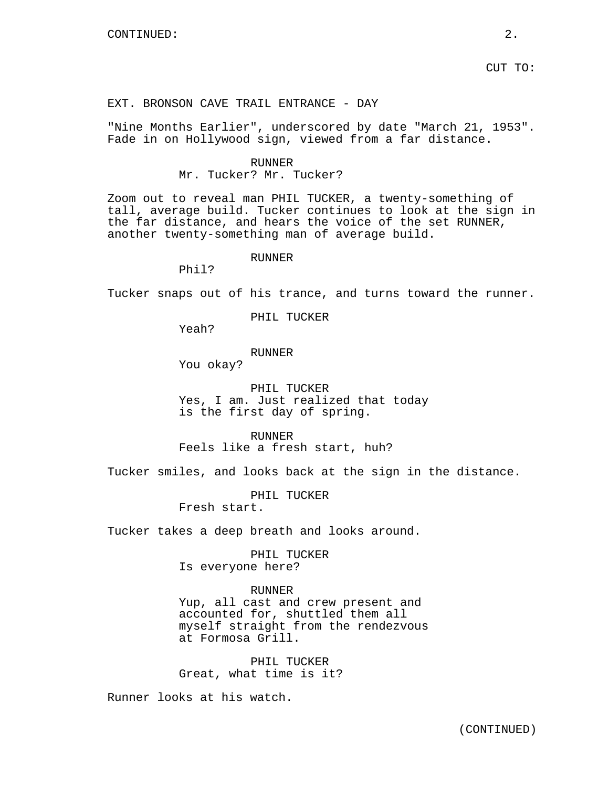CUT TO:

# EXT. BRONSON CAVE TRAIL ENTRANCE - DAY

"Nine Months Earlier", underscored by date "March 21, 1953". Fade in on Hollywood sign, viewed from a far distance.

### RUNNER

# Mr. Tucker? Mr. Tucker?

Zoom out to reveal man PHIL TUCKER, a twenty-something of tall, average build. Tucker continues to look at the sign in the far distance, and hears the voice of the set RUNNER, another twenty-something man of average build.

### RUNNER

Phil?

Tucker snaps out of his trance, and turns toward the runner.

PHIL TUCKER

Yeah?

### RUNNER

You okay?

PHIL TUCKER Yes, I am. Just realized that today is the first day of spring.

RUNNER Feels like a fresh start, huh?

Tucker smiles, and looks back at the sign in the distance.

PHIL TUCKER Fresh start.

Tucker takes a deep breath and looks around.

PHIL TUCKER Is everyone here?

# RUNNER

Yup, all cast and crew present and accounted for, shuttled them all myself straight from the rendezvous at Formosa Grill.

PHIL TUCKER Great, what time is it?

Runner looks at his watch.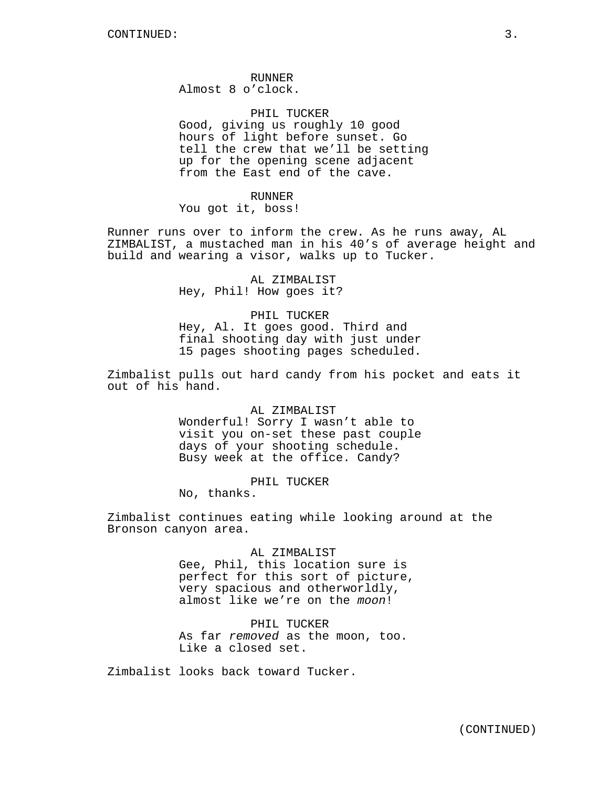RUNNER Almost 8 o'clock.

PHIL TUCKER Good, giving us roughly 10 good hours of light before sunset. Go tell the crew that we'll be setting up for the opening scene adjacent from the East end of the cave.

### RUNNER

You got it, boss!

Runner runs over to inform the crew. As he runs away, AL ZIMBALIST, a mustached man in his 40's of average height and build and wearing a visor, walks up to Tucker.

> AL ZIMBALIST Hey, Phil! How goes it?

PHIL TUCKER Hey, Al. It goes good. Third and final shooting day with just under 15 pages shooting pages scheduled.

Zimbalist pulls out hard candy from his pocket and eats it out of his hand.

# AL ZIMBALIST

Wonderful! Sorry I wasn't able to visit you on-set these past couple days of your shooting schedule. Busy week at the office. Candy?

# PHIL TUCKER

No, thanks.

Zimbalist continues eating while looking around at the Bronson canyon area.

> AL ZIMBALIST Gee, Phil, this location sure is perfect for this sort of picture, very spacious and otherworldly, almost like we're on the *moon*!

PHIL TUCKER As far *removed* as the moon, too. Like a closed set.

Zimbalist looks back toward Tucker.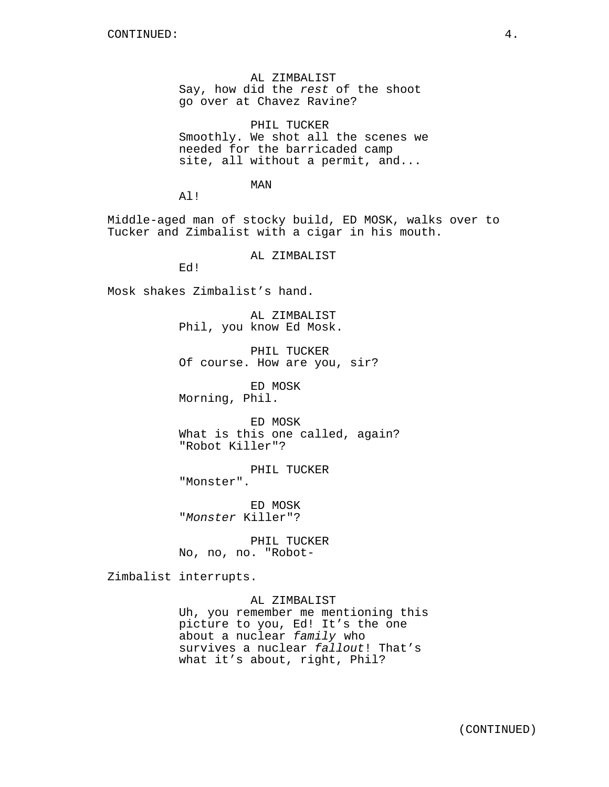AL ZIMBALIST Say, how did the *rest* of the shoot go over at Chavez Ravine?

PHIL TUCKER Smoothly. We shot all the scenes we needed for the barricaded camp site, all without a permit, and...

MAN

Al!

Middle-aged man of stocky build, ED MOSK, walks over to Tucker and Zimbalist with a cigar in his mouth.

AL ZIMBALIST

Ed!

Mosk shakes Zimbalist's hand.

AL ZIMBALIST Phil, you know Ed Mosk.

PHIL TUCKER Of course. How are you, sir?

ED MOSK

Morning, Phil.

ED MOSK What is this one called, again? "Robot Killer"?

PHIL TUCKER "Monster".

ED MOSK "*Monster* Killer"?

PHIL TUCKER No, no, no. "Robot-

Zimbalist interrupts.

### AL ZIMBALIST

Uh, you remember me mentioning this picture to you, Ed! It's the one about a nuclear *family* who survives a nuclear *fallout*! That's what it's about, right, Phil?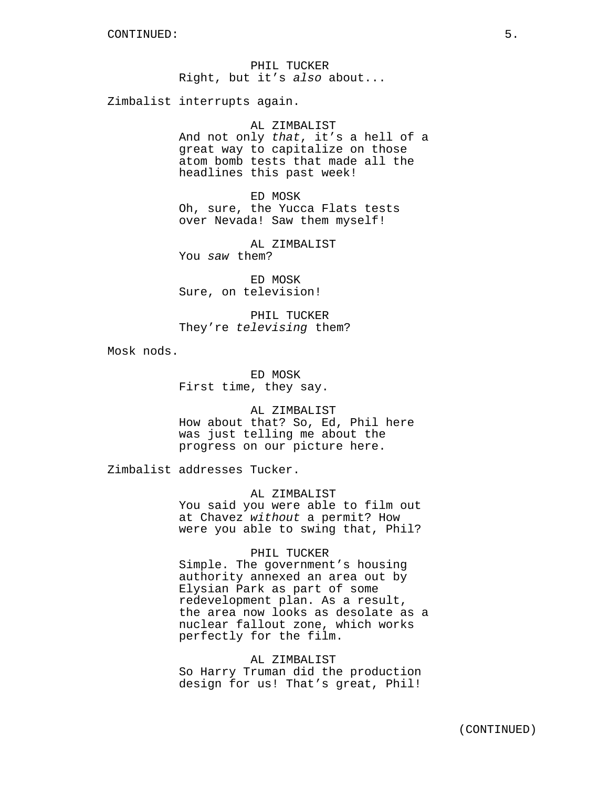PHIL TUCKER Right, but it's *also* about...

Zimbalist interrupts again.

### AL ZIMBALIST

And not only *that*, it's a hell of a great way to capitalize on those atom bomb tests that made all the headlines this past week!

ED MOSK Oh, sure, the Yucca Flats tests over Nevada! Saw them myself!

AL ZIMBALIST You *saw* them?

ED MOSK Sure, on television!

PHIL TUCKER They're *televising* them?

Mosk nods.

ED MOSK First time, they say.

AL ZIMBALIST

How about that? So, Ed, Phil here was just telling me about the progress on our picture here.

Zimbalist addresses Tucker.

AL ZIMBALIST

You said you were able to film out at Chavez *without* a permit? How were you able to swing that, Phil?

### PHIL TUCKER

Simple. The government's housing authority annexed an area out by Elysian Park as part of some redevelopment plan. As a result, the area now looks as desolate as a nuclear fallout zone, which works perfectly for the film.

AL ZIMBALIST So Harry Truman did the production design for us! That's great, Phil!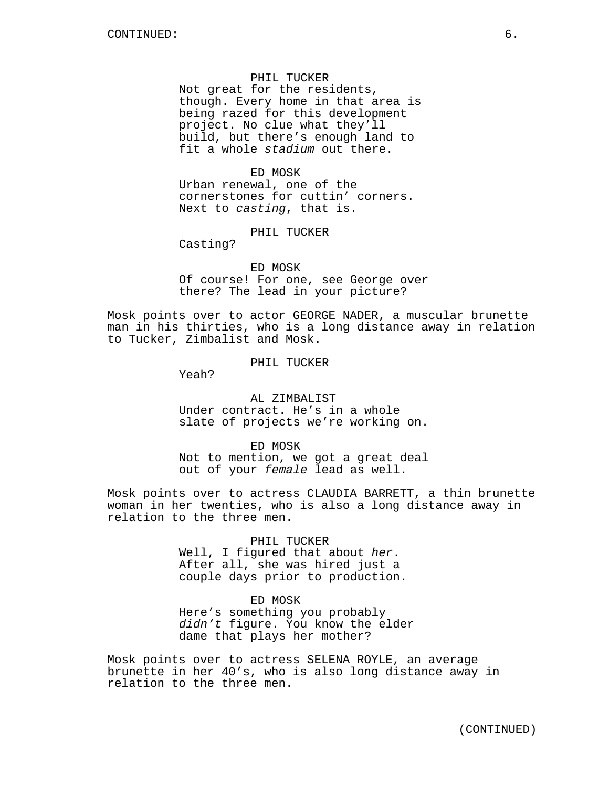Not great for the residents, though. Every home in that area is being razed for this development project. No clue what they'll build, but there's enough land to fit a whole *stadium* out there.

### ED MOSK

Urban renewal, one of the cornerstones for cuttin' corners. Next to *casting*, that is.

PHIL TUCKER

Casting?

ED MOSK Of course! For one, see George over there? The lead in your picture?

Mosk points over to actor GEORGE NADER, a muscular brunette man in his thirties, who is a long distance away in relation to Tucker, Zimbalist and Mosk.

# PHIL TUCKER

Yeah?

# AL ZIMBALIST Under contract. He's in a whole slate of projects we're working on.

ED MOSK Not to mention, we got a great deal out of your *female* lead as well.

Mosk points over to actress CLAUDIA BARRETT, a thin brunette woman in her twenties, who is also a long distance away in relation to the three men.

### PHIL TUCKER

Well, I figured that about *her*. After all, she was hired just a couple days prior to production.

# ED MOSK

Here's something you probably *didn't* figure. You know the elder dame that plays her mother?

Mosk points over to actress SELENA ROYLE, an average brunette in her 40's, who is also long distance away in relation to the three men.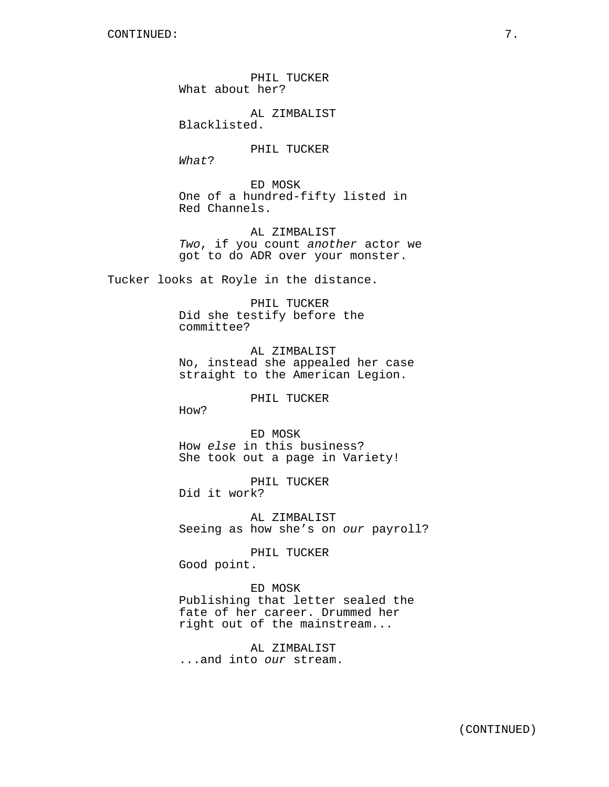PHIL TUCKER What about her?

AL ZIMBALIST Blacklisted.

PHIL TUCKER

*What*?

ED MOSK One of a hundred-fifty listed in Red Channels.

AL ZIMBALIST *Two*, if you count *another* actor we got to do ADR over your monster.

Tucker looks at Royle in the distance.

PHIL TUCKER Did she testify before the committee?

AL ZIMBALIST No, instead she appealed her case straight to the American Legion.

PHIL TUCKER

How?

ED MOSK How *else* in this business? She took out a page in Variety!

PHIL TUCKER Did it work?

AL ZIMBALIST Seeing as how she's on *our* payroll?

PHIL TUCKER

Good point.

# ED MOSK

Publishing that letter sealed the fate of her career. Drummed her right out of the mainstream...

AL ZIMBALIST ...and into *our* stream.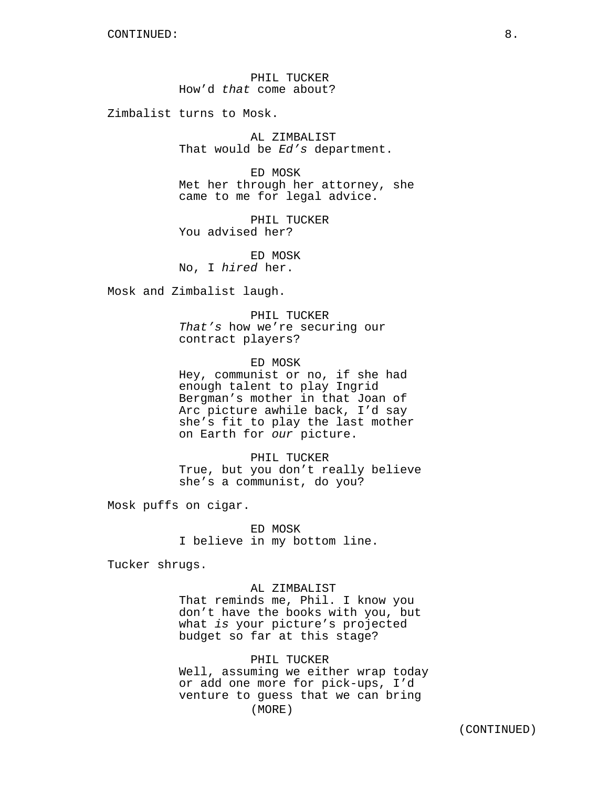PHIL TUCKER How'd *that* come about?

Zimbalist turns to Mosk.

AL ZIMBALIST That would be *Ed's* department.

ED MOSK Met her through her attorney, she came to me for legal advice.

PHIL TUCKER You advised her?

ED MOSK No, I *hired* her.

Mosk and Zimbalist laugh.

PHIL TUCKER *That's* how we're securing our contract players?

ED MOSK Hey, communist or no, if she had enough talent to play Ingrid Bergman's mother in that Joan of Arc picture awhile back, I'd say she's fit to play the last mother on Earth for *our* picture.

PHIL TUCKER True, but you don't really believe she's a communist, do you?

Mosk puffs on cigar.

ED MOSK I believe in my bottom line.

Tucker shrugs.

AL ZIMBALIST That reminds me, Phil. I know you don't have the books with you, but what *is* your picture's projected budget so far at this stage?

PHIL TUCKER Well, assuming we either wrap today or add one more for pick-ups, I'd venture to guess that we can bring (MORE)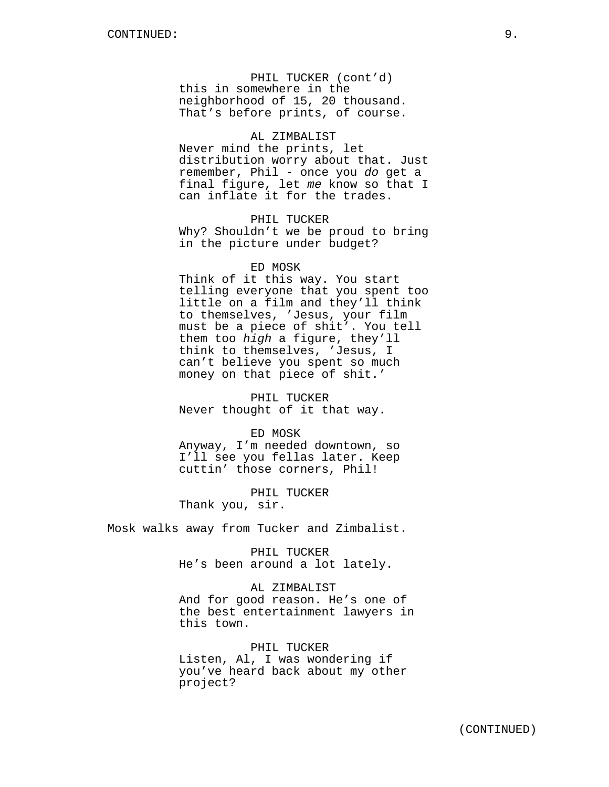PHIL TUCKER (cont'd) this in somewhere in the neighborhood of 15, 20 thousand. That's before prints, of course.

# AL ZIMBALIST

Never mind the prints, let distribution worry about that. Just remember, Phil - once you *do* get a final figure, let *me* know so that I can inflate it for the trades.

PHIL TUCKER Why? Shouldn't we be proud to bring in the picture under budget?

# ED MOSK

Think of it this way. You start telling everyone that you spent too little on a film and they'll think to themselves, 'Jesus, your film must be a piece of shit'. You tell them too *high* a figure, they'll think to themselves, 'Jesus, I can't believe you spent so much money on that piece of shit.'

PHIL TUCKER Never thought of it that way.

# ED MOSK

Anyway, I'm needed downtown, so I'll see you fellas later. Keep cuttin' those corners, Phil!

PHIL TUCKER Thank you, sir.

Mosk walks away from Tucker and Zimbalist.

PHIL TUCKER He's been around a lot lately.

AL ZIMBALIST And for good reason. He's one of the best entertainment lawyers in this town.

PHIL TUCKER Listen, Al, I was wondering if you've heard back about my other project?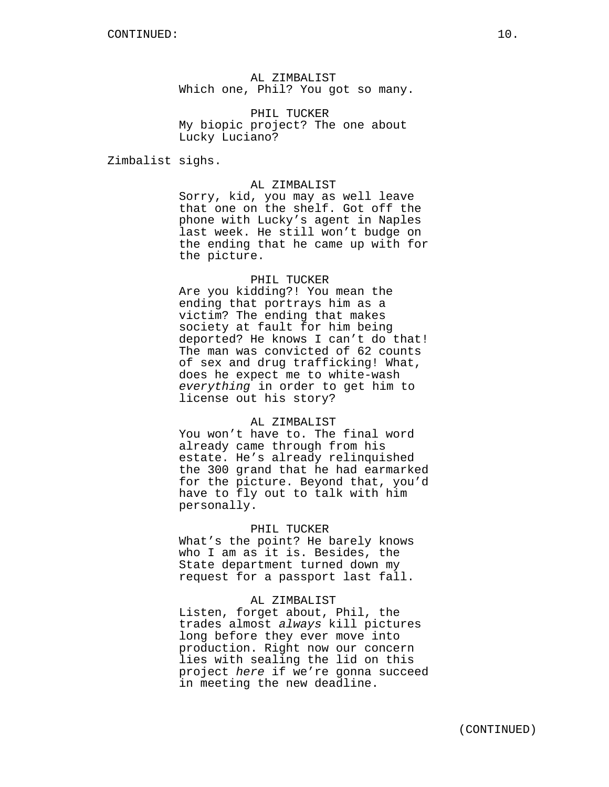AL ZIMBALIST Which one, Phil? You got so many.

PHIL TUCKER My biopic project? The one about Lucky Luciano?

Zimbalist sighs.

# AL ZIMBALIST

Sorry, kid, you may as well leave that one on the shelf. Got off the phone with Lucky's agent in Naples last week. He still won't budge on the ending that he came up with for the picture.

### PHIL TUCKER

Are you kidding?! You mean the ending that portrays him as a victim? The ending that makes society at fault for him being deported? He knows I can't do that! The man was convicted of 62 counts of sex and drug trafficking! What, does he expect me to white-wash *everything* in order to get him to license out his story?

### AL ZIMBALIST

You won't have to. The final word already came through from his estate. He's already relinquished the 300 grand that he had earmarked for the picture. Beyond that, you'd have to fly out to talk with him personally.

### PHIL TUCKER

What's the point? He barely knows who I am as it is. Besides, the State department turned down my request for a passport last fall.

### AL ZIMBALIST

Listen, forget about, Phil, the trades almost *always* kill pictures long before they ever move into production. Right now our concern lies with sealing the lid on this project *here* if we're gonna succeed in meeting the new deadline.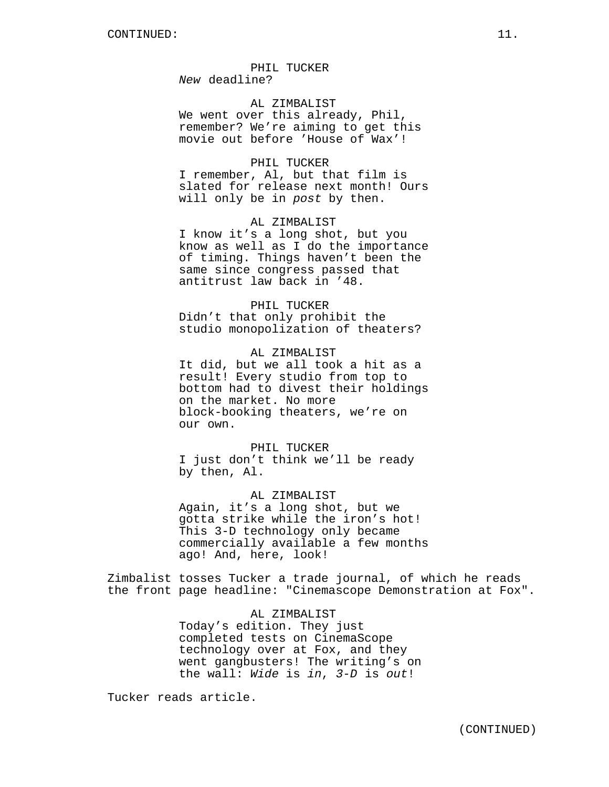*New* deadline?

AL ZIMBALIST We went over this already, Phil, remember? We're aiming to get this movie out before 'House of Wax'!

# PHIL TUCKER

I remember, Al, but that film is slated for release next month! Ours will only be in *post* by then.

### AL ZIMBALIST

I know it's a long shot, but you know as well as I do the importance of timing. Things haven't been the same since congress passed that antitrust law back in '48.

# PHIL TUCKER

Didn't that only prohibit the studio monopolization of theaters?

AL ZIMBALIST It did, but we all took a hit as a result! Every studio from top to bottom had to divest their holdings on the market. No more block-booking theaters, we're on our own.

PHIL TUCKER I just don't think we'll be ready by then, Al.

AL ZIMBALIST Again, it's a long shot, but we gotta strike while the iron's hot! This 3-D technology only became commercially available a few months ago! And, here, look!

Zimbalist tosses Tucker a trade journal, of which he reads the front page headline: "Cinemascope Demonstration at Fox".

> AL ZIMBALIST Today's edition. They just completed tests on CinemaScope technology over at Fox, and they went gangbusters! The writing's on the wall: *Wide* is *in*, *3-D* is *out*!

Tucker reads article.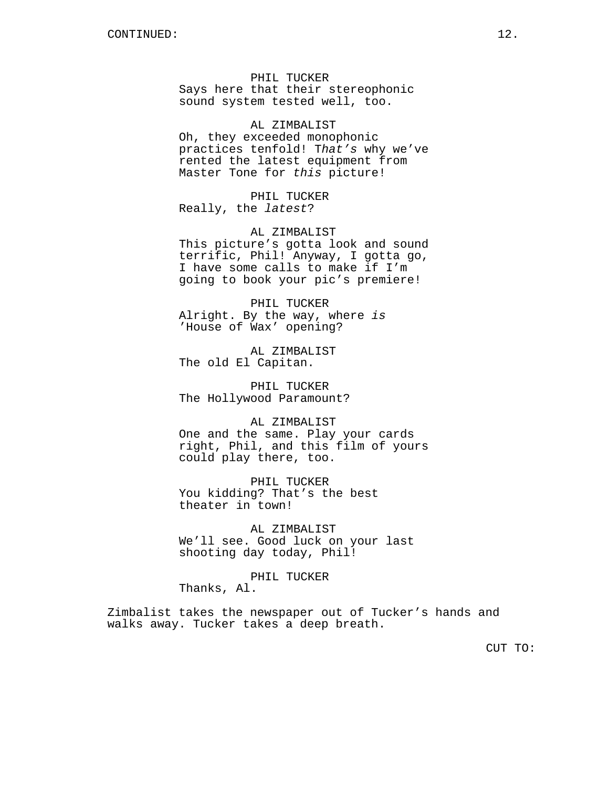PHIL TUCKER Says here that their stereophonic sound system tested well, too.

AL ZIMBALIST Oh, they exceeded monophonic practices tenfold! T*hat's* why we've rented the latest equipment from Master Tone for *this* picture!

PHIL TUCKER Really, the *latest*?

AL ZIMBALIST This picture's gotta look and sound terrific, Phil! Anyway, I gotta go, I have some calls to make if I'm going to book your pic's premiere!

PHIL TUCKER Alright. By the way, where *is* 'House of Wax' opening?

AL ZIMBALIST The old El Capitan.

PHIL TUCKER The Hollywood Paramount?

AL ZIMBALIST One and the same. Play your cards right, Phil, and this film of yours could play there, too.

PHIL TUCKER You kidding? That's the best theater in town!

AL ZIMBALIST We'll see. Good luck on your last shooting day today, Phil!

PHIL TUCKER Thanks, Al.

Zimbalist takes the newspaper out of Tucker's hands and walks away. Tucker takes a deep breath.

CUT TO: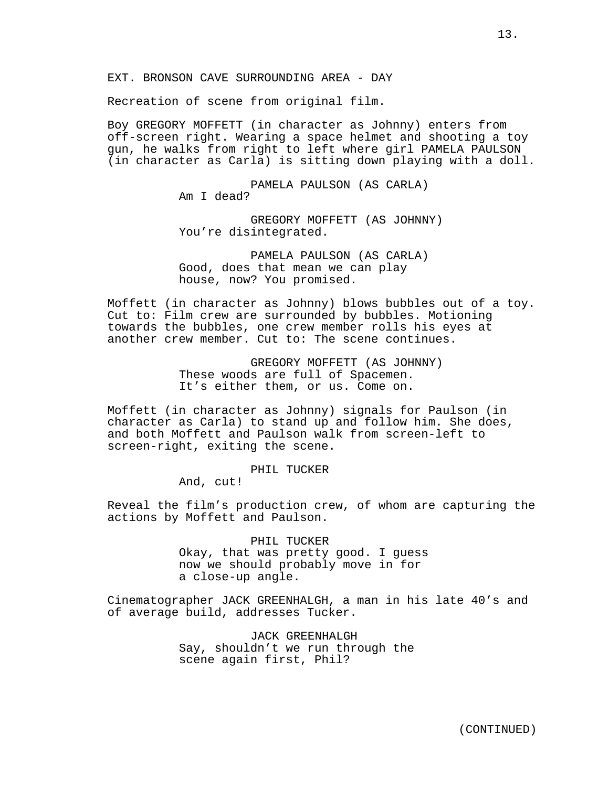Recreation of scene from original film.

Boy GREGORY MOFFETT (in character as Johnny) enters from off-screen right. Wearing a space helmet and shooting a toy gun, he walks from right to left where girl PAMELA PAULSON (in character as Carla) is sitting down playing with a doll.

> PAMELA PAULSON (AS CARLA) Am I dead?

GREGORY MOFFETT (AS JOHNNY) You're disintegrated.

PAMELA PAULSON (AS CARLA) Good, does that mean we can play house, now? You promised.

Moffett (in character as Johnny) blows bubbles out of a toy. Cut to: Film crew are surrounded by bubbles. Motioning towards the bubbles, one crew member rolls his eyes at another crew member. Cut to: The scene continues.

> GREGORY MOFFETT (AS JOHNNY) These woods are full of Spacemen. It's either them, or us. Come on.

Moffett (in character as Johnny) signals for Paulson (in character as Carla) to stand up and follow him. She does, and both Moffett and Paulson walk from screen-left to screen-right, exiting the scene.

PHIL TUCKER

And, cut!

Reveal the film's production crew, of whom are capturing the actions by Moffett and Paulson.

> PHIL TUCKER Okay, that was pretty good. I guess now we should probably move in for a close-up angle.

Cinematographer JACK GREENHALGH, a man in his late 40's and of average build, addresses Tucker.

> JACK GREENHALGH Say, shouldn't we run through the scene again first, Phil?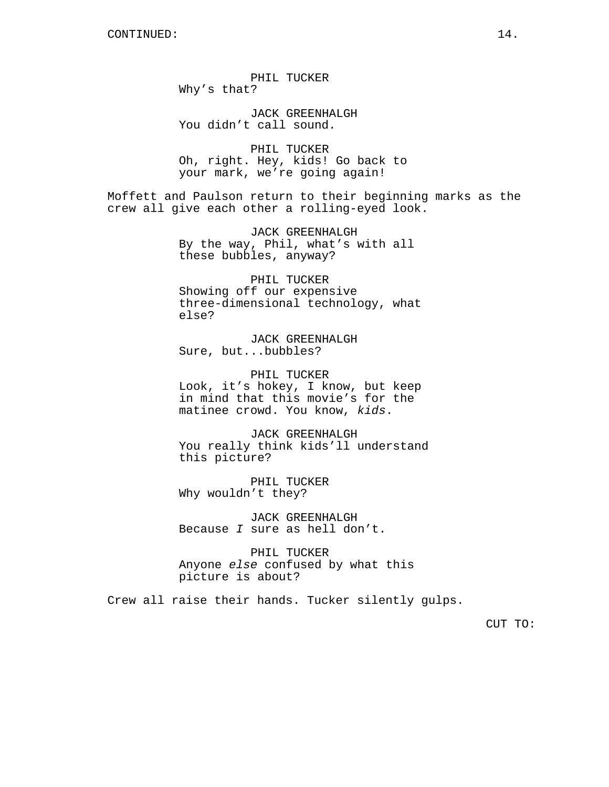PHIL TUCKER Why's that?

JACK GREENHALGH You didn't call sound.

PHIL TUCKER Oh, right. Hey, kids! Go back to your mark, we're going again!

Moffett and Paulson return to their beginning marks as the crew all give each other a rolling-eyed look.

> JACK GREENHALGH By the way, Phil, what's with all these bubbles, anyway?

PHIL TUCKER Showing off our expensive three-dimensional technology, what else?

JACK GREENHALGH Sure, but...bubbles?

PHIL TUCKER Look, it's hokey, I know, but keep in mind that this movie's for the matinee crowd. You know, *kids*.

JACK GREENHALGH You really think kids'll understand this picture?

PHIL TUCKER Why wouldn't they?

JACK GREENHALGH Because *I* sure as hell don't.

PHIL TUCKER Anyone *else* confused by what this picture is about?

Crew all raise their hands. Tucker silently gulps.

CUT TO: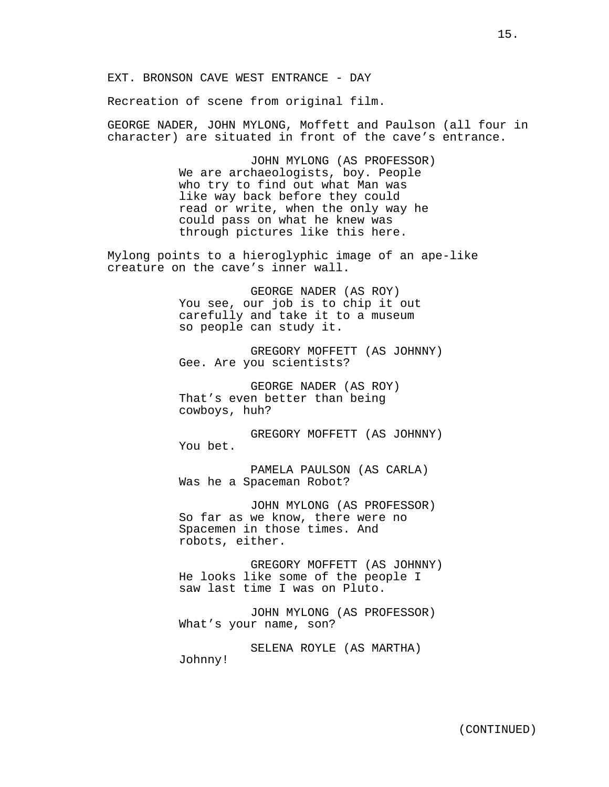EXT. BRONSON CAVE WEST ENTRANCE - DAY

Recreation of scene from original film.

GEORGE NADER, JOHN MYLONG, Moffett and Paulson (all four in character) are situated in front of the cave's entrance.

> JOHN MYLONG (AS PROFESSOR) We are archaeologists, boy. People who try to find out what Man was like way back before they could read or write, when the only way he could pass on what he knew was through pictures like this here.

Mylong points to a hieroglyphic image of an ape-like creature on the cave's inner wall.

> GEORGE NADER (AS ROY) You see, our job is to chip it out carefully and take it to a museum so people can study it.

GREGORY MOFFETT (AS JOHNNY) Gee. Are you scientists?

GEORGE NADER (AS ROY) That's even better than being cowboys, huh?

GREGORY MOFFETT (AS JOHNNY) You bet.

PAMELA PAULSON (AS CARLA) Was he a Spaceman Robot?

JOHN MYLONG (AS PROFESSOR) So far as we know, there were no Spacemen in those times. And robots, either.

GREGORY MOFFETT (AS JOHNNY) He looks like some of the people I saw last time I was on Pluto.

JOHN MYLONG (AS PROFESSOR) What's your name, son?

SELENA ROYLE (AS MARTHA) Johnny!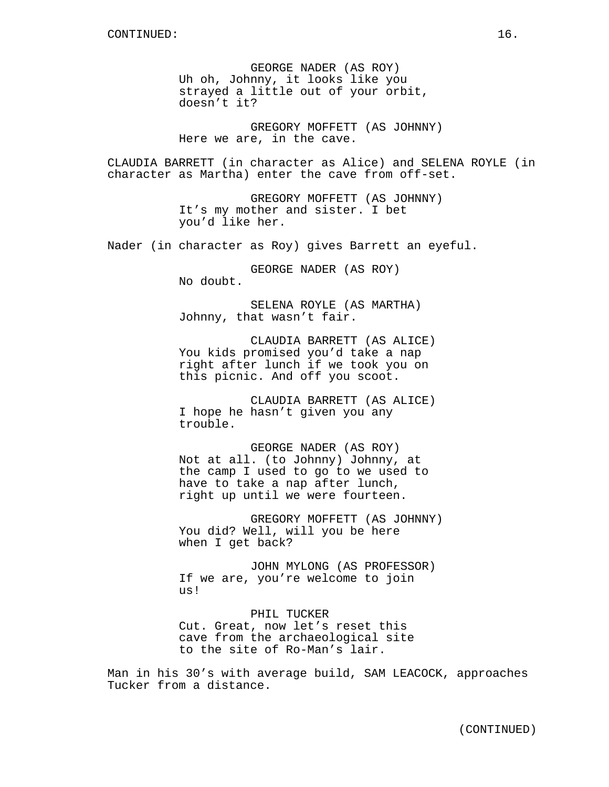GEORGE NADER (AS ROY) Uh oh, Johnny, it looks like you strayed a little out of your orbit, doesn't it?

GREGORY MOFFETT (AS JOHNNY) Here we are, in the cave.

CLAUDIA BARRETT (in character as Alice) and SELENA ROYLE (in character as Martha) enter the cave from off-set.

> GREGORY MOFFETT (AS JOHNNY) It's my mother and sister. I bet you'd like her.

Nader (in character as Roy) gives Barrett an eyeful.

GEORGE NADER (AS ROY) No doubt.

SELENA ROYLE (AS MARTHA) Johnny, that wasn't fair.

CLAUDIA BARRETT (AS ALICE) You kids promised you'd take a nap right after lunch if we took you on this picnic. And off you scoot.

CLAUDIA BARRETT (AS ALICE) I hope he hasn't given you any trouble.

GEORGE NADER (AS ROY) Not at all. (to Johnny) Johnny, at the camp I used to go to we used to have to take a nap after lunch, right up until we were fourteen.

GREGORY MOFFETT (AS JOHNNY) You did? Well, will you be here when I get back?

JOHN MYLONG (AS PROFESSOR) If we are, you're welcome to join us!

PHIL TUCKER Cut. Great, now let's reset this cave from the archaeological site to the site of Ro-Man's lair.

Man in his 30's with average build, SAM LEACOCK, approaches Tucker from a distance.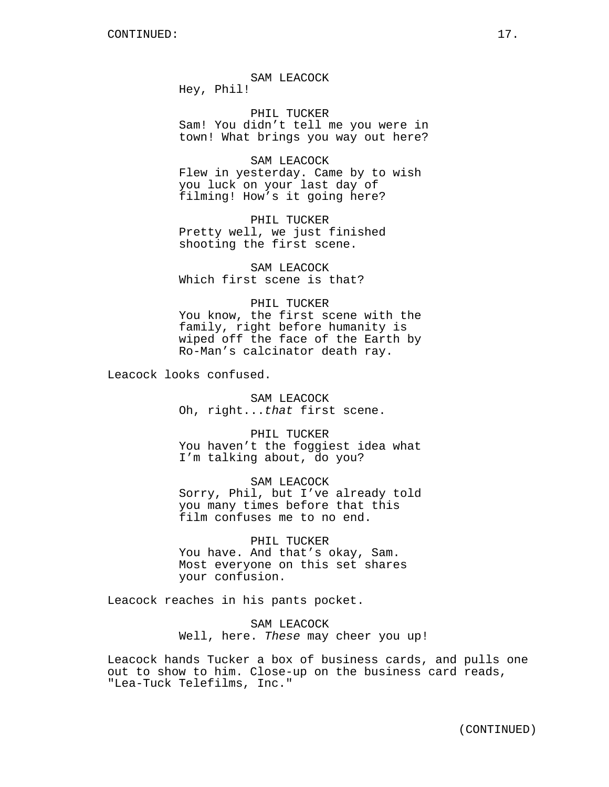SAM LEACOCK

Hey, Phil!

PHIL TUCKER Sam! You didn't tell me you were in town! What brings you way out here?

### SAM LEACOCK

Flew in yesterday. Came by to wish you luck on your last day of filming! How's it going here?

PHIL TUCKER Pretty well, we just finished shooting the first scene.

SAM LEACOCK Which first scene is that?

# PHIL TUCKER

You know, the first scene with the family, right before humanity is wiped off the face of the Earth by Ro-Man's calcinator death ray.

Leacock looks confused.

SAM LEACOCK Oh, right...*that* first scene.

PHIL TUCKER You haven't the foggiest idea what I'm talking about, do you?

SAM LEACOCK Sorry, Phil, but I've already told you many times before that this film confuses me to no end.

# PHIL TUCKER

You have. And that's okay, Sam. Most everyone on this set shares your confusion.

Leacock reaches in his pants pocket.

SAM LEACOCK Well, here. *These* may cheer you up!

Leacock hands Tucker a box of business cards, and pulls one out to show to him. Close-up on the business card reads, "Lea-Tuck Telefilms, Inc."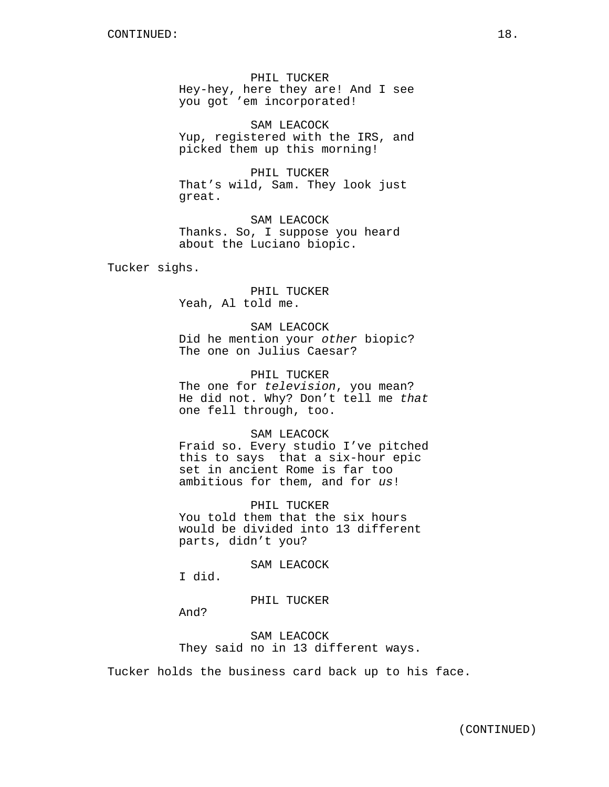PHIL TUCKER Hey-hey, here they are! And I see you got 'em incorporated!

SAM LEACOCK Yup, registered with the IRS, and picked them up this morning!

PHIL TUCKER That's wild, Sam. They look just great.

SAM LEACOCK Thanks. So, I suppose you heard about the Luciano biopic.

Tucker sighs.

PHIL TUCKER Yeah, Al told me.

SAM LEACOCK Did he mention your *other* biopic? The one on Julius Caesar?

PHIL TUCKER The one for *television*, you mean? He did not. Why? Don't tell me *that* one fell through, too.

SAM LEACOCK Fraid so. Every studio I've pitched this to says that a six-hour epic

set in ancient Rome is far too ambitious for them, and for *us*!

PHIL TUCKER You told them that the six hours would be divided into 13 different parts, didn't you?

SAM LEACOCK

I did.

PHIL TUCKER

And?

SAM LEACOCK They said no in 13 different ways.

Tucker holds the business card back up to his face.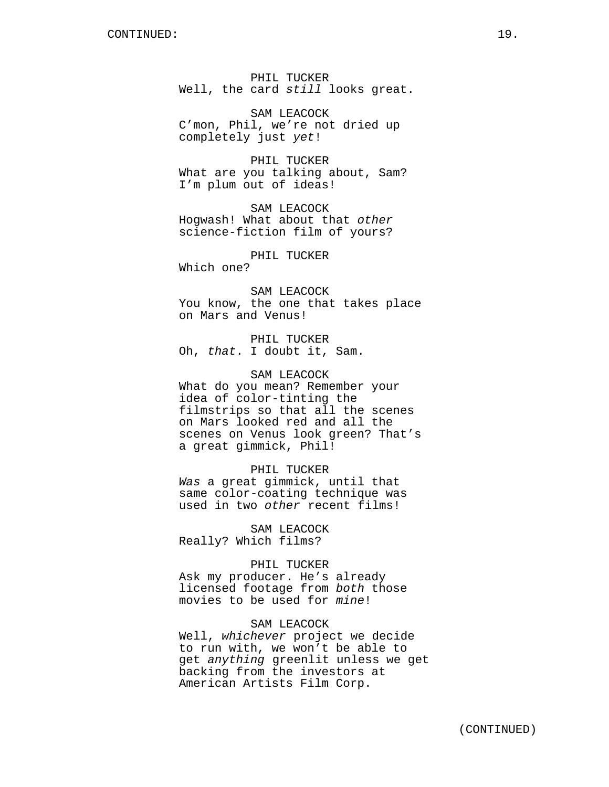PHIL TUCKER Well, the card *still* looks great.

SAM LEACOCK C'mon, Phil, we're not dried up completely just *yet*!

PHIL TUCKER What are you talking about, Sam? I'm plum out of ideas!

SAM LEACOCK Hogwash! What about that *other* science-fiction film of yours?

PHIL TUCKER

Which one?

SAM LEACOCK You know, the one that takes place on Mars and Venus!

PHIL TUCKER Oh, *that*. I doubt it, Sam.

SAM LEACOCK What do you mean? Remember your idea of color-tinting the filmstrips so that all the scenes on Mars looked red and all the scenes on Venus look green? That's a great gimmick, Phil!

PHIL TUCKER *Was* a great gimmick, until that same color-coating technique was used in two *other* recent films!

SAM LEACOCK Really? Which films?

# PHIL TUCKER

Ask my producer. He's already licensed footage from *both* those movies to be used for *mine*!

# SAM LEACOCK

Well, *whichever* project we decide to run with, we won't be able to get *anything* greenlit unless we get backing from the investors at American Artists Film Corp.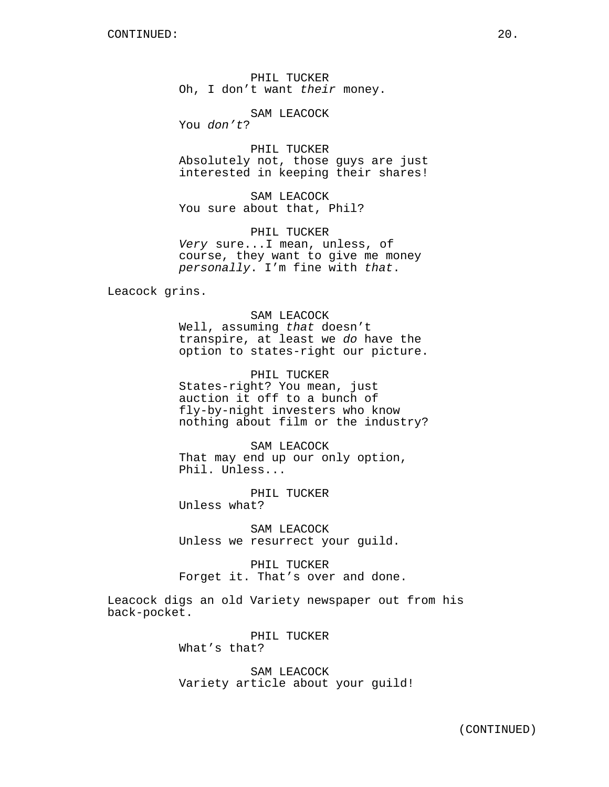PHIL TUCKER Oh, I don't want *their* money.

SAM LEACOCK

You *don't*?

PHIL TUCKER Absolutely not, those guys are just interested in keeping their shares!

SAM LEACOCK You sure about that, Phil?

PHIL TUCKER *Very* sure...I mean, unless, of course, they want to give me money *personally*. I'm fine with *that*.

Leacock grins.

SAM LEACOCK Well, assuming *that* doesn't transpire, at least we *do* have the option to states-right our picture.

PHIL TUCKER States-right? You mean, just auction it off to a bunch of fly-by-night investers who know nothing about film or the industry?

SAM LEACOCK That may end up our only option, Phil. Unless...

PHIL TUCKER Unless what?

SAM LEACOCK Unless we resurrect your guild.

PHIL TUCKER Forget it. That's over and done.

Leacock digs an old Variety newspaper out from his back-pocket.

> PHIL TUCKER What's that?

SAM LEACOCK Variety article about your guild!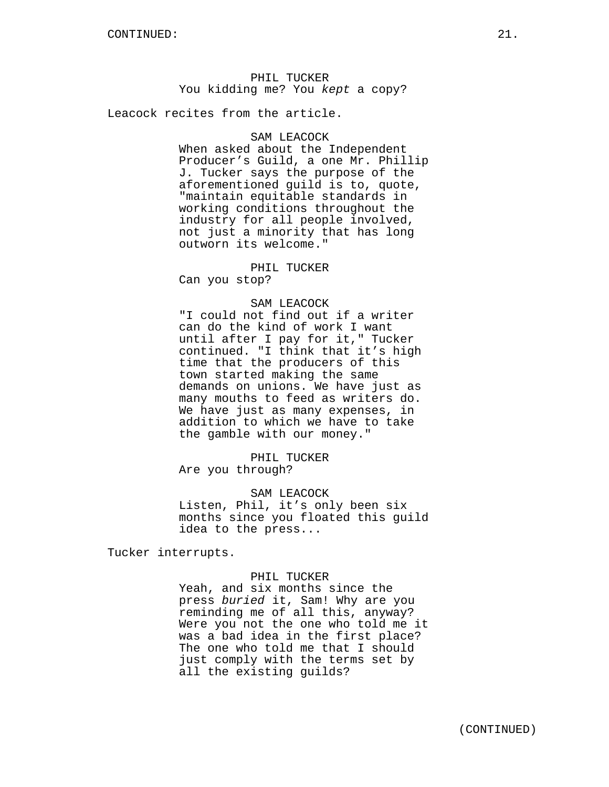PHIL TUCKER You kidding me? You *kept* a copy?

Leacock recites from the article.

# SAM LEACOCK

When asked about the Independent Producer's Guild, a one Mr. Phillip J. Tucker says the purpose of the aforementioned guild is to, quote, "maintain equitable standards in working conditions throughout the industry for all people involved, not just a minority that has long outworn its welcome."

# PHIL TUCKER

Can you stop?

# SAM LEACOCK

"I could not find out if a writer can do the kind of work I want until after I pay for it," Tucker continued. "I think that it's high time that the producers of this town started making the same demands on unions. We have just as many mouths to feed as writers do. We have just as many expenses, in addition to which we have to take the gamble with our money."

PHIL TUCKER Are you through?

### SAM LEACOCK

Listen, Phil, it's only been six months since you floated this guild idea to the press...

Tucker interrupts.

### PHIL TUCKER

Yeah, and six months since the press *buried* it, Sam! Why are you reminding me of all this, anyway? Were you not the one who told me it was a bad idea in the first place? The one who told me that I should just comply with the terms set by all the existing guilds?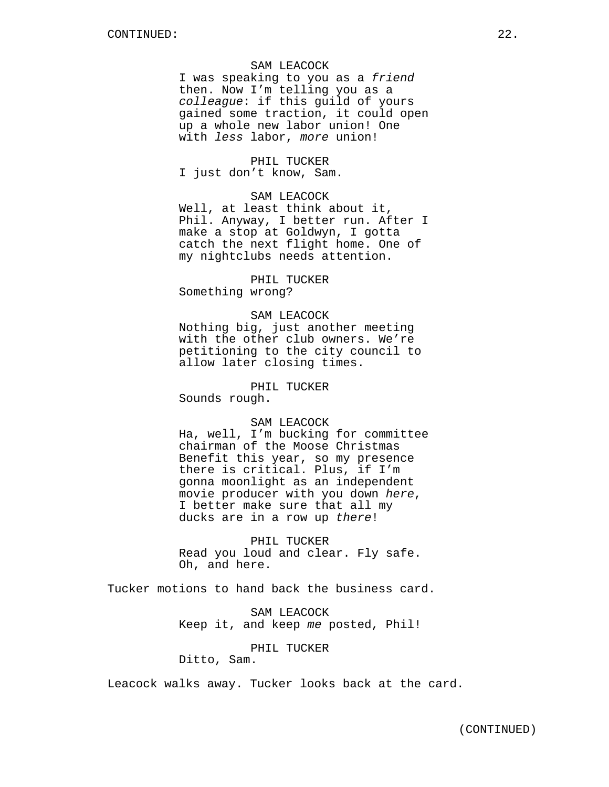### SAM LEACOCK

I was speaking to you as a *friend* then. Now I'm telling you as a *colleague*: if this guild of yours gained some traction, it could open up a whole new labor union! One with *less* labor, *more* union!

### PHIL TUCKER

I just don't know, Sam.

# SAM LEACOCK

Well, at least think about it, Phil. Anyway, I better run. After I make a stop at Goldwyn, I gotta catch the next flight home. One of my nightclubs needs attention.

# PHIL TUCKER

Something wrong?

### SAM LEACOCK

Nothing big, just another meeting with the other club owners. We're petitioning to the city council to allow later closing times.

# PHIL TUCKER

Sounds rough.

# SAM LEACOCK

Ha, well, I'm bucking for committee chairman of the Moose Christmas Benefit this year, so my presence there is critical. Plus, if I'm gonna moonlight as an independent movie producer with you down *here*, I better make sure that all my ducks are in a row up *there*!

PHIL TUCKER Read you loud and clear. Fly safe. Oh, and here.

Tucker motions to hand back the business card.

SAM LEACOCK Keep it, and keep *me* posted, Phil!

# PHIL TUCKER

Ditto, Sam.

Leacock walks away. Tucker looks back at the card.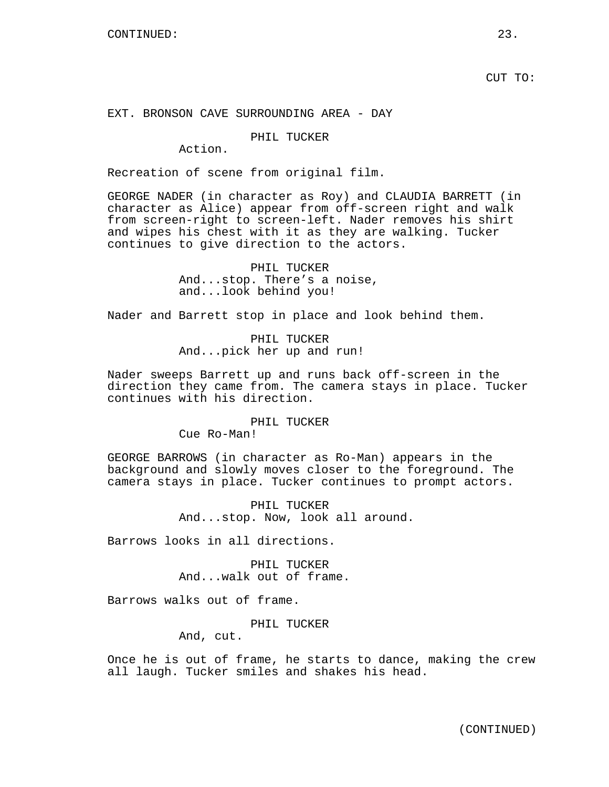CUT TO:

# EXT. BRONSON CAVE SURROUNDING AREA - DAY

# PHIL TUCKER

Action.

Recreation of scene from original film.

GEORGE NADER (in character as Roy) and CLAUDIA BARRETT (in character as Alice) appear from off-screen right and walk from screen-right to screen-left. Nader removes his shirt and wipes his chest with it as they are walking. Tucker continues to give direction to the actors.

> PHIL TUCKER And...stop. There's a noise, and...look behind you!

Nader and Barrett stop in place and look behind them.

PHIL TUCKER And...pick her up and run!

Nader sweeps Barrett up and runs back off-screen in the direction they came from. The camera stays in place. Tucker continues with his direction.

### PHIL TUCKER

Cue Ro-Man!

GEORGE BARROWS (in character as Ro-Man) appears in the background and slowly moves closer to the foreground. The camera stays in place. Tucker continues to prompt actors.

> PHIL TUCKER And...stop. Now, look all around.

Barrows looks in all directions.

PHIL TUCKER And...walk out of frame.

Barrows walks out of frame.

PHIL TUCKER

And, cut.

Once he is out of frame, he starts to dance, making the crew all laugh. Tucker smiles and shakes his head.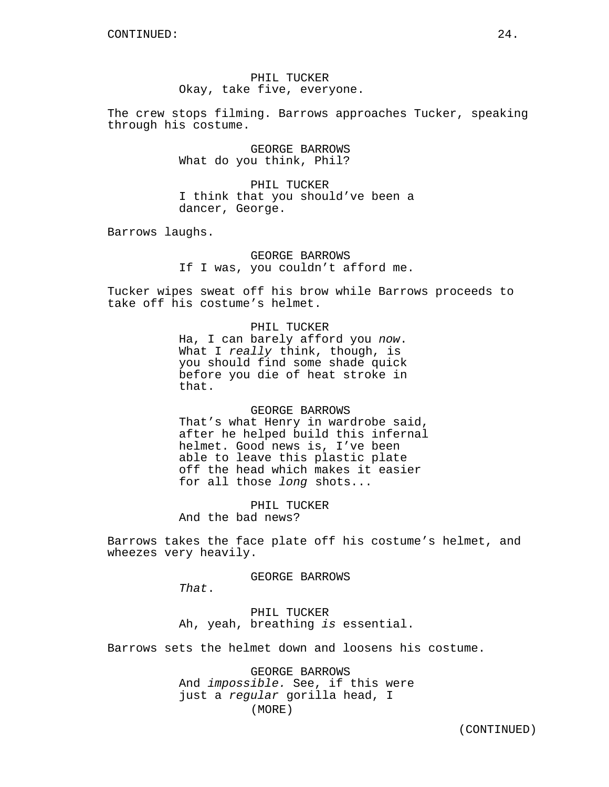PHIL TUCKER Okay, take five, everyone.

The crew stops filming. Barrows approaches Tucker, speaking through his costume.

> GEORGE BARROWS What do you think, Phil?

PHIL TUCKER I think that you should've been a dancer, George.

Barrows laughs.

GEORGE BARROWS If I was, you couldn't afford me.

Tucker wipes sweat off his brow while Barrows proceeds to take off his costume's helmet.

PHIL TUCKER

Ha, I can barely afford you *now*. What I *really* think, though, is you should find some shade quick before you die of heat stroke in that.

# GEORGE BARROWS

That's what Henry in wardrobe said, after he helped build this infernal helmet. Good news is, I've been able to leave this plastic plate off the head which makes it easier for all those *long* shots...

PHIL TUCKER

And the bad news?

Barrows takes the face plate off his costume's helmet, and wheezes very heavily.

GEORGE BARROWS

*That*.

PHIL TUCKER Ah, yeah, breathing *is* essential.

Barrows sets the helmet down and loosens his costume.

GEORGE BARROWS And *impossible.* See, if this were just a *regular* gorilla head, I (MORE)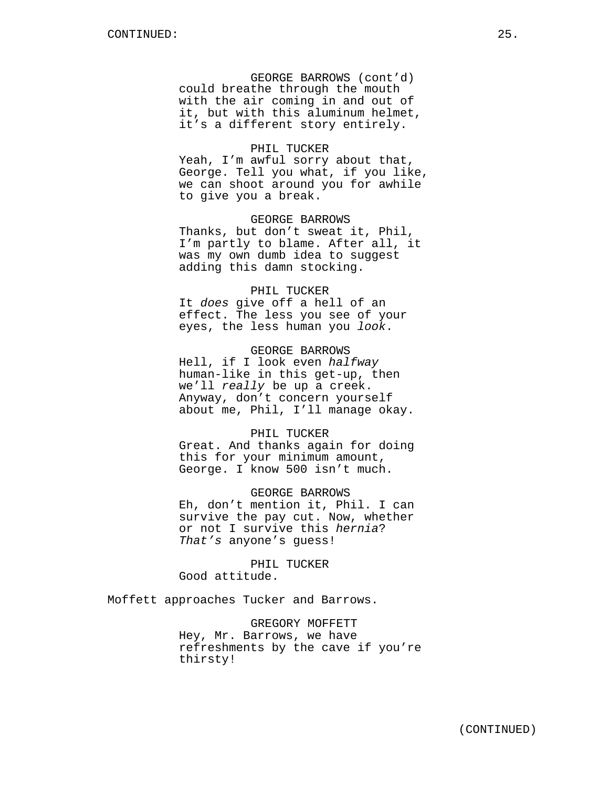GEORGE BARROWS (cont'd) could breathe through the mouth with the air coming in and out of it, but with this aluminum helmet, it's a different story entirely.

### PHIL TUCKER

Yeah, I'm awful sorry about that, George. Tell you what, if you like, we can shoot around you for awhile to give you a break.

GEORGE BARROWS Thanks, but don't sweat it, Phil, I'm partly to blame. After all, it was my own dumb idea to suggest adding this damn stocking.

### PHIL TUCKER

It *does* give off a hell of an effect. The less you see of your eyes, the less human you *look*.

# GEORGE BARROWS

Hell, if I look even *halfway* human-like in this get-up, then we'll *really* be up a creek. Anyway, don't concern yourself about me, Phil, I'll manage okay.

### PHIL TUCKER

Great. And thanks again for doing this for your minimum amount, George. I know 500 isn't much.

GEORGE BARROWS Eh, don't mention it, Phil. I can survive the pay cut. Now, whether or not I survive this *hernia*? *That's* anyone's guess!

PHIL TUCKER Good attitude.

Moffett approaches Tucker and Barrows.

GREGORY MOFFETT Hey, Mr. Barrows, we have refreshments by the cave if you're thirsty!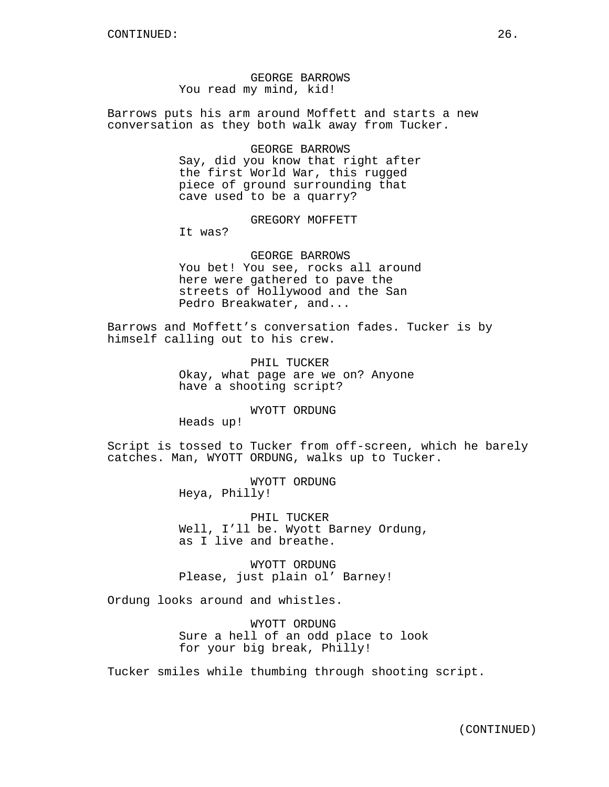GEORGE BARROWS You read my mind, kid!

Barrows puts his arm around Moffett and starts a new conversation as they both walk away from Tucker.

GEORGE BARROWS

Say, did you know that right after the first World War, this rugged piece of ground surrounding that cave used to be a quarry?

GREGORY MOFFETT

It was?

GEORGE BARROWS You bet! You see, rocks all around here were gathered to pave the streets of Hollywood and the San Pedro Breakwater, and...

Barrows and Moffett's conversation fades. Tucker is by himself calling out to his crew.

> PHIL TUCKER Okay, what page are we on? Anyone have a shooting script?

> > WYOTT ORDUNG

Heads up!

Script is tossed to Tucker from off-screen, which he barely catches. Man, WYOTT ORDUNG, walks up to Tucker.

> WYOTT ORDUNG Heya, Philly!

PHIL TUCKER Well, I'll be. Wyott Barney Ordung, as I live and breathe.

WYOTT ORDUNG Please, just plain ol' Barney!

Ordung looks around and whistles.

WYOTT ORDUNG Sure a hell of an odd place to look for your big break, Philly!

Tucker smiles while thumbing through shooting script.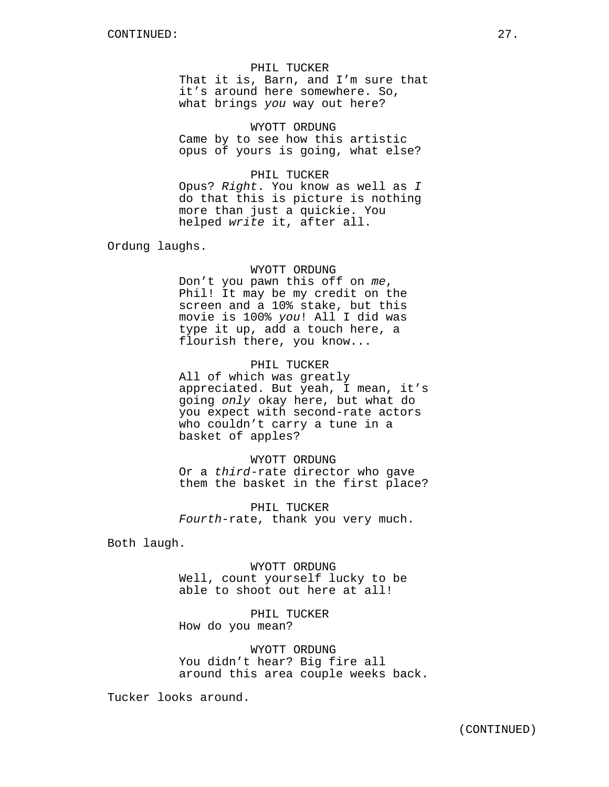That it is, Barn, and I'm sure that it's around here somewhere. So, what brings *you* way out here?

### WYOTT ORDUNG

Came by to see how this artistic opus of yours is going, what else?

# PHIL TUCKER

Opus? *Right*. You know as well as *I* do that this is picture is nothing more than just a quickie. You helped *write* it, after all.

Ordung laughs.

### WYOTT ORDUNG

Don't you pawn this off on *me*, Phil! It may be my credit on the screen and a 10% stake, but this movie is 100% *you*! All I did was type it up, add a touch here, a flourish there, you know...

# PHIL TUCKER

All of which was greatly appreciated. But yeah, I mean, it's going *only* okay here, but what do you expect with second-rate actors who couldn't carry a tune in a basket of apples?

### WYOTT ORDUNG

Or a *third*-rate director who gave them the basket in the first place?

PHIL TUCKER *Fourth*-rate, thank you very much.

Both laugh.

WYOTT ORDUNG Well, count yourself lucky to be able to shoot out here at all!

PHIL TUCKER How do you mean?

WYOTT ORDUNG You didn't hear? Big fire all around this area couple weeks back.

Tucker looks around.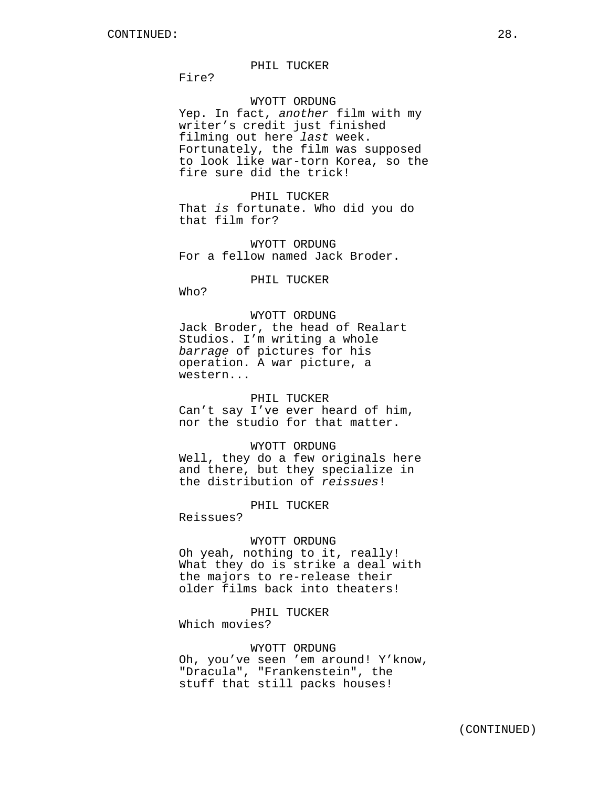Fire?

### WYOTT ORDUNG

Yep. In fact, *another* film with my writer's credit just finished filming out here *last* week. Fortunately, the film was supposed to look like war-torn Korea, so the fire sure did the trick!

PHIL TUCKER That *is* fortunate. Who did you do that film for?

WYOTT ORDUNG For a fellow named Jack Broder.

PHIL TUCKER

Who?

WYOTT ORDUNG Jack Broder, the head of Realart Studios. I'm writing a whole *barrage* of pictures for his operation. A war picture, a western...

### PHIL TUCKER

Can't say I've ever heard of him, nor the studio for that matter.

# WYOTT ORDUNG

Well, they do a few originals here and there, but they specialize in the distribution of *reissues*!

### PHIL TUCKER

Reissues?

### WYOTT ORDUNG

Oh yeah, nothing to it, really! What they do is strike a deal with the majors to re-release their older films back into theaters!

# PHIL TUCKER

Which movies?

# WYOTT ORDUNG

Oh, you've seen 'em around! Y'know, "Dracula", "Frankenstein", the stuff that still packs houses!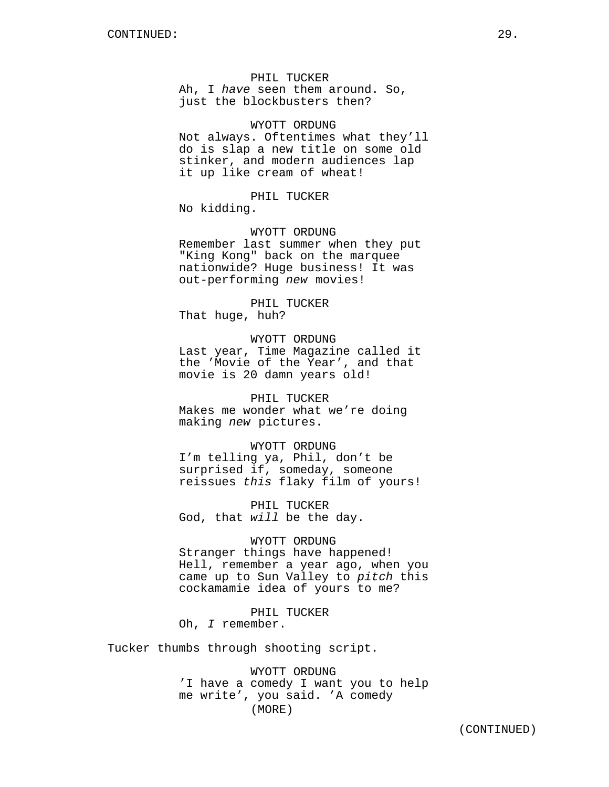Ah, I *have* seen them around. So, just the blockbusters then?

### WYOTT ORDUNG

Not always. Oftentimes what they'll do is slap a new title on some old stinker, and modern audiences lap it up like cream of wheat!

PHIL TUCKER

No kidding.

WYOTT ORDUNG Remember last summer when they put "King Kong" back on the marquee nationwide? Huge business! It was out-performing *new* movies!

PHIL TUCKER That huge, huh?

making *new* pictures.

WYOTT ORDUNG Last year, Time Magazine called it the 'Movie of the Year', and that movie is 20 damn years old!

PHIL TUCKER Makes me wonder what we're doing

WYOTT ORDUNG I'm telling ya, Phil, don't be surprised if, someday, someone reissues *this* flaky film of yours!

PHIL TUCKER God, that *will* be the day.

WYOTT ORDUNG Stranger things have happened! Hell, remember a year ago, when you came up to Sun Valley to *pitch* this cockamamie idea of yours to me?

PHIL TUCKER Oh, *I* remember.

Tucker thumbs through shooting script.

WYOTT ORDUNG 'I have a comedy I want you to help me write', you said. 'A comedy (MORE)

(CONTINUED)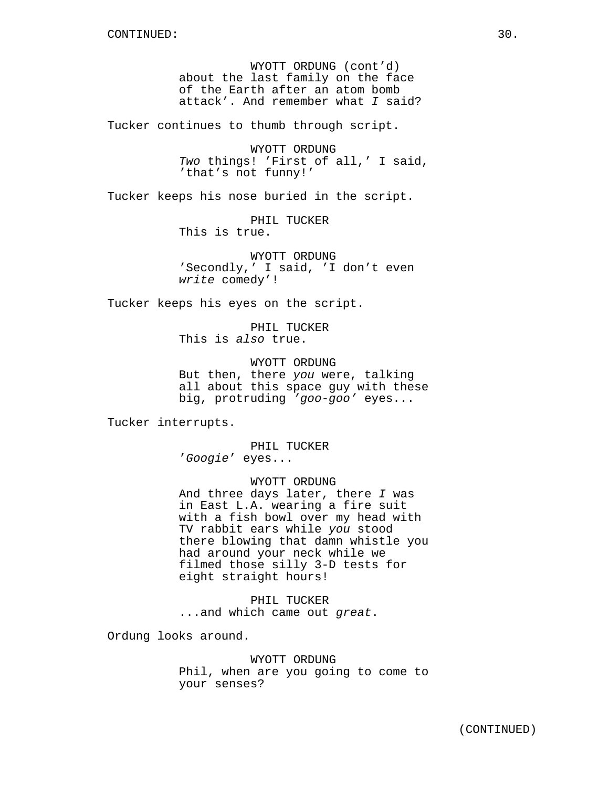WYOTT ORDUNG (cont'd) about the last family on the face of the Earth after an atom bomb attack'. And remember what *I* said?

Tucker continues to thumb through script.

WYOTT ORDUNG *Two* things! 'First of all,' I said, 'that's not funny!'

Tucker keeps his nose buried in the script.

PHIL TUCKER This is true.

WYOTT ORDUNG 'Secondly,' I said, 'I don't even *write* comedy'!

Tucker keeps his eyes on the script.

PHIL TUCKER This is *also* true.

WYOTT ORDUNG But then, there *you* were, talking all about this space guy with these big, protruding *'goo-goo'* eyes...

Tucker interrupts.

PHIL TUCKER '*Googie*' eyes...

WYOTT ORDUNG And three days later, there *I* was in East L.A. wearing a fire suit with a fish bowl over my head with TV rabbit ears while *you* stood there blowing that damn whistle you had around your neck while we filmed those silly 3-D tests for eight straight hours!

PHIL TUCKER ...and which came out *great*.

Ordung looks around.

WYOTT ORDUNG Phil, when are you going to come to your senses?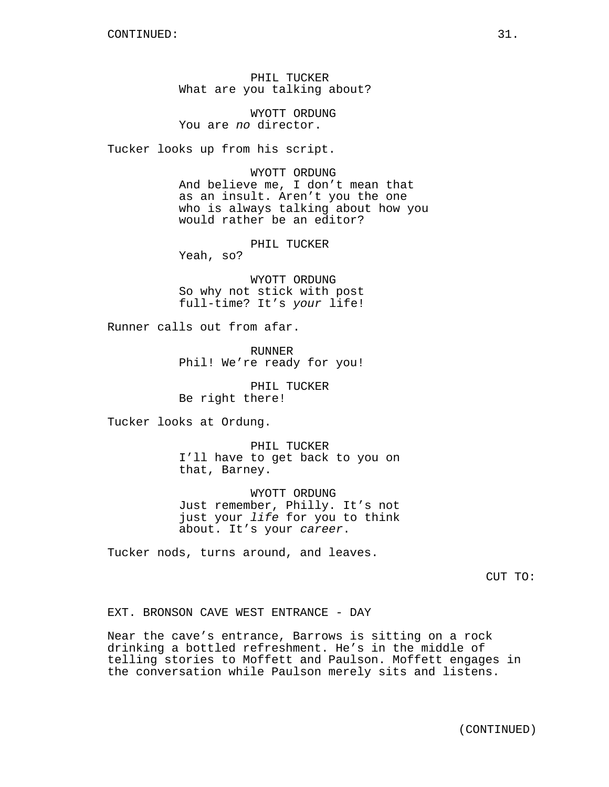PHIL TUCKER What are you talking about?

WYOTT ORDUNG You are *no* director.

Tucker looks up from his script.

WYOTT ORDUNG And believe me, I don't mean that as an insult. Aren't you the one who is always talking about how you would rather be an editor?

PHIL TUCKER Yeah, so?

WYOTT ORDUNG So why not stick with post full-time? It's *your* life!

Runner calls out from afar.

RUNNER Phil! We're ready for you!

PHIL TUCKER Be right there!

Tucker looks at Ordung.

PHIL TUCKER I'll have to get back to you on that, Barney.

WYOTT ORDUNG Just remember, Philly. It's not just your *life* for you to think about. It's your *career*.

Tucker nods, turns around, and leaves.

CUT TO:

# EXT. BRONSON CAVE WEST ENTRANCE - DAY

Near the cave's entrance, Barrows is sitting on a rock drinking a bottled refreshment. He's in the middle of telling stories to Moffett and Paulson. Moffett engages in the conversation while Paulson merely sits and listens.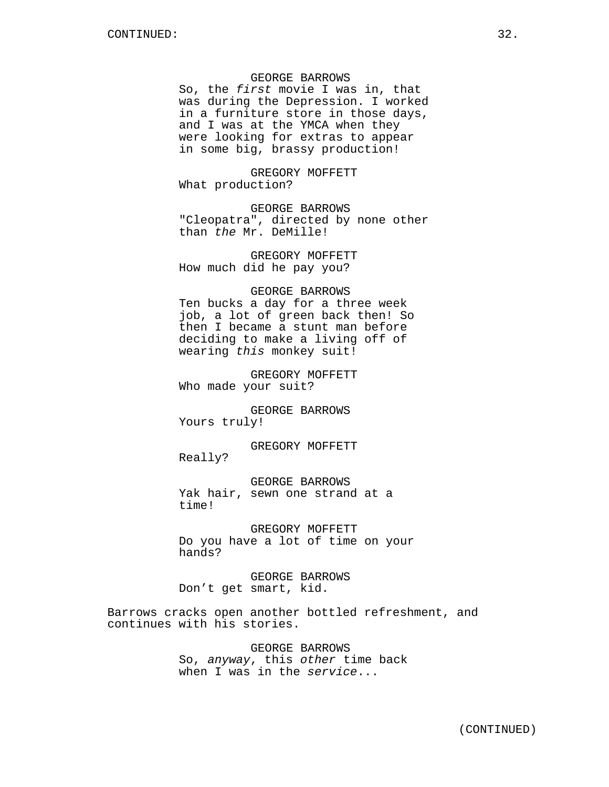# GEORGE BARROWS

So, the *first* movie I was in, that was during the Depression. I worked in a furniture store in those days, and I was at the YMCA when they were looking for extras to appear in some big, brassy production!

GREGORY MOFFETT What production?

GEORGE BARROWS "Cleopatra", directed by none other than *the* Mr. DeMille!

GREGORY MOFFETT How much did he pay you?

### GEORGE BARROWS

Ten bucks a day for a three week job, a lot of green back then! So then I became a stunt man before deciding to make a living off of wearing *this* monkey suit!

GREGORY MOFFETT Who made your suit?

GEORGE BARROWS Yours truly!

GREGORY MOFFETT Really?

GEORGE BARROWS Yak hair, sewn one strand at a time!

GREGORY MOFFETT Do you have a lot of time on your hands?

GEORGE BARROWS Don't get smart, kid.

Barrows cracks open another bottled refreshment, and continues with his stories.

> GEORGE BARROWS So, *anyway*, this *other* time back when I was in the *service*...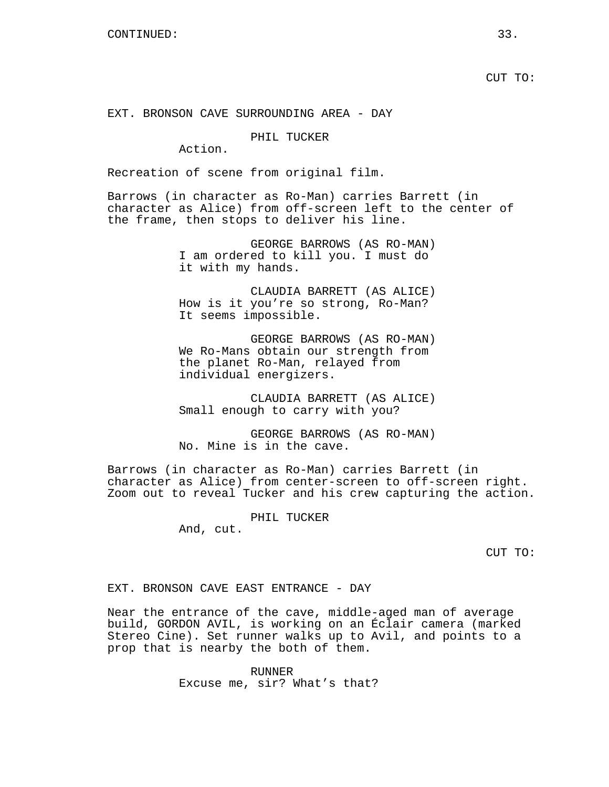# EXT. BRONSON CAVE SURROUNDING AREA - DAY

# PHIL TUCKER

Action.

Recreation of scene from original film.

Barrows (in character as Ro-Man) carries Barrett (in character as Alice) from off-screen left to the center of the frame, then stops to deliver his line.

> GEORGE BARROWS (AS RO-MAN) I am ordered to kill you. I must do it with my hands.

> CLAUDIA BARRETT (AS ALICE) How is it you're so strong, Ro-Man? It seems impossible.

> GEORGE BARROWS (AS RO-MAN) We Ro-Mans obtain our strength from the planet Ro-Man, relayed from individual energizers.

> CLAUDIA BARRETT (AS ALICE) Small enough to carry with you?

> GEORGE BARROWS (AS RO-MAN) No. Mine is in the cave.

Barrows (in character as Ro-Man) carries Barrett (in character as Alice) from center-screen to off-screen right. Zoom out to reveal Tucker and his crew capturing the action.

PHIL TUCKER

And, cut.

CUT TO:

### EXT. BRONSON CAVE EAST ENTRANCE - DAY

Near the entrance of the cave, middle-aged man of average build, GORDON AVIL, is working on an Éclair camera (marked Stereo Cine). Set runner walks up to Avil, and points to a prop that is nearby the both of them.

> RUNNER Excuse me, sir? What's that?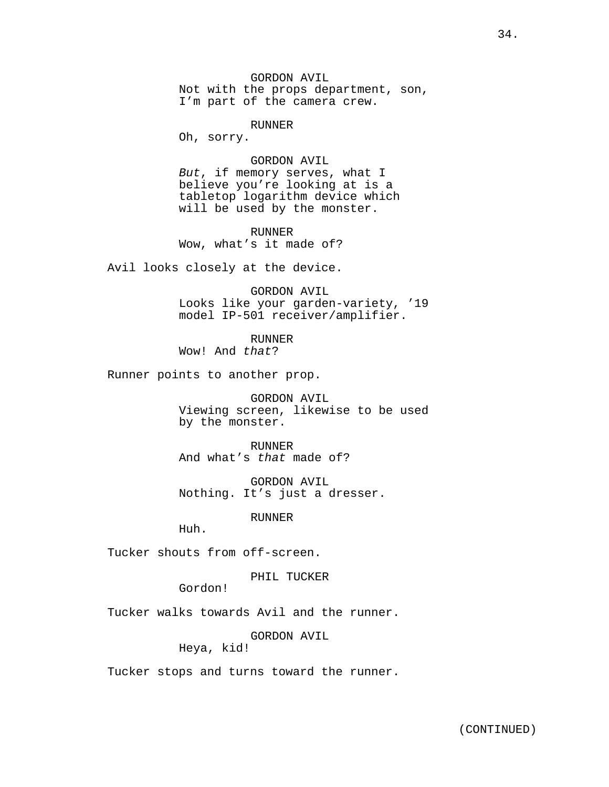GORDON AVIL Not with the props department, son, I'm part of the camera crew.

RUNNER

Oh, sorry.

GORDON AVIL *But*, if memory serves, what I believe you're looking at is a tabletop logarithm device which will be used by the monster.

RUNNER Wow, what's it made of?

Avil looks closely at the device.

GORDON AVIL Looks like your garden-variety, '19 model IP-501 receiver/amplifier.

RUNNER Wow! And *that*?

Runner points to another prop.

GORDON AVIL Viewing screen, likewise to be used by the monster.

RUNNER And what's *that* made of?

GORDON AVIL Nothing. It's just a dresser.

RUNNER

Huh.

Tucker shouts from off-screen.

PHIL TUCKER

Gordon!

Tucker walks towards Avil and the runner.

GORDON AVIL

Heya, kid!

Tucker stops and turns toward the runner.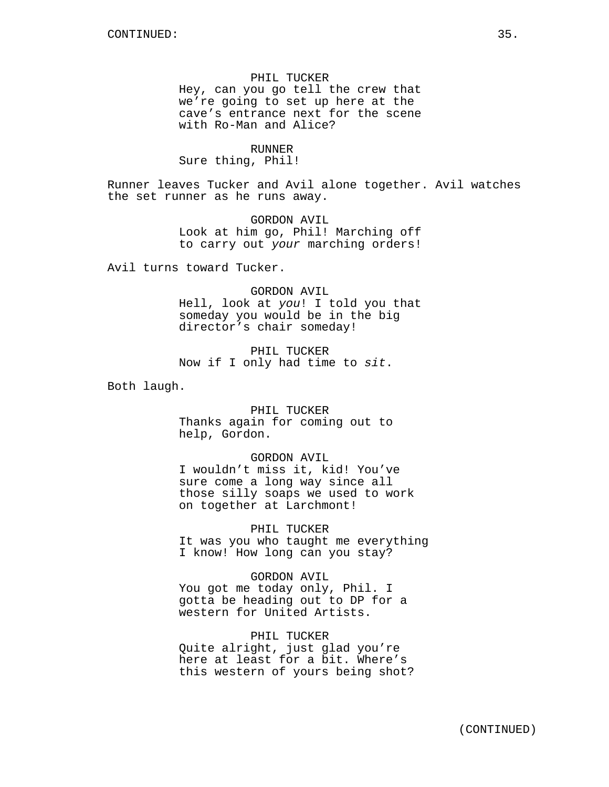PHIL TUCKER Hey, can you go tell the crew that we're going to set up here at the cave's entrance next for the scene with Ro-Man and Alice?

# RUNNER

Sure thing, Phil!

Runner leaves Tucker and Avil alone together. Avil watches the set runner as he runs away.

> GORDON AVIL Look at him go, Phil! Marching off to carry out *your* marching orders!

Avil turns toward Tucker.

### GORDON AVIL

Hell, look at *you*! I told you that someday you would be in the big director's chair someday!

PHIL TUCKER Now if I only had time to *sit*.

Both laugh.

PHIL TUCKER Thanks again for coming out to help, Gordon.

### GORDON AVIL

I wouldn't miss it, kid! You've sure come a long way since all those silly soaps we used to work on together at Larchmont!

PHIL TUCKER It was you who taught me everything I know! How long can you stay?

GORDON AVIL You got me today only, Phil. I gotta be heading out to DP for a western for United Artists.

PHIL TUCKER Quite alright, just glad you're here at least for a bit. Where's this western of yours being shot?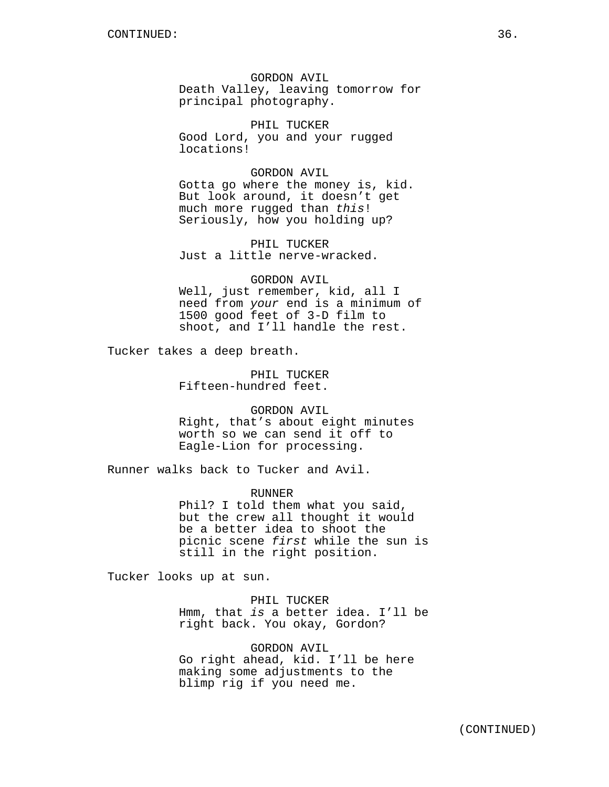GORDON AVIL Death Valley, leaving tomorrow for principal photography.

PHIL TUCKER Good Lord, you and your rugged locations!

GORDON AVIL Gotta go where the money is, kid. But look around, it doesn't get much more rugged than *this*! Seriously, how you holding up?

PHIL TUCKER Just a little nerve-wracked.

GORDON AVIL Well, just remember, kid, all I need from *your* end is a minimum of 1500 good feet of 3-D film to shoot, and I'll handle the rest.

Tucker takes a deep breath.

PHIL TUCKER Fifteen-hundred feet.

GORDON AVIL Right, that's about eight minutes worth so we can send it off to Eagle-Lion for processing.

Runner walks back to Tucker and Avil.

RUNNER Phil? I told them what you said, but the crew all thought it would be a better idea to shoot the picnic scene *first* while the sun is still in the right position.

Tucker looks up at sun.

PHIL TUCKER Hmm, that *is* a better idea. I'll be right back. You okay, Gordon?

GORDON AVIL Go right ahead, kid. I'll be here making some adjustments to the blimp rig if you need me.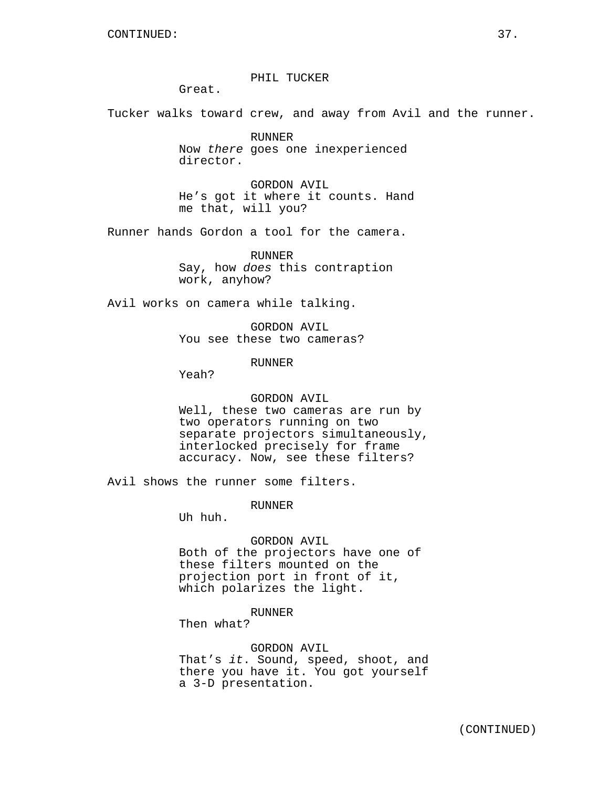PHIL TUCKER

Great.

Tucker walks toward crew, and away from Avil and the runner.

RUNNER Now *there* goes one inexperienced director.

GORDON AVIL He's got it where it counts. Hand me that, will you?

Runner hands Gordon a tool for the camera.

RUNNER Say, how *does* this contraption work, anyhow?

Avil works on camera while talking.

GORDON AVIL You see these two cameras?

RUNNER

Yeah?

## GORDON AVIL

Well, these two cameras are run by two operators running on two separate projectors simultaneously, interlocked precisely for frame accuracy. Now, see these filters?

Avil shows the runner some filters.

#### RUNNER

Uh huh.

# GORDON AVIL

Both of the projectors have one of these filters mounted on the projection port in front of it, which polarizes the light.

#### RUNNER

Then what?

GORDON AVIL

That's *it*. Sound, speed, shoot, and there you have it. You got yourself a 3-D presentation.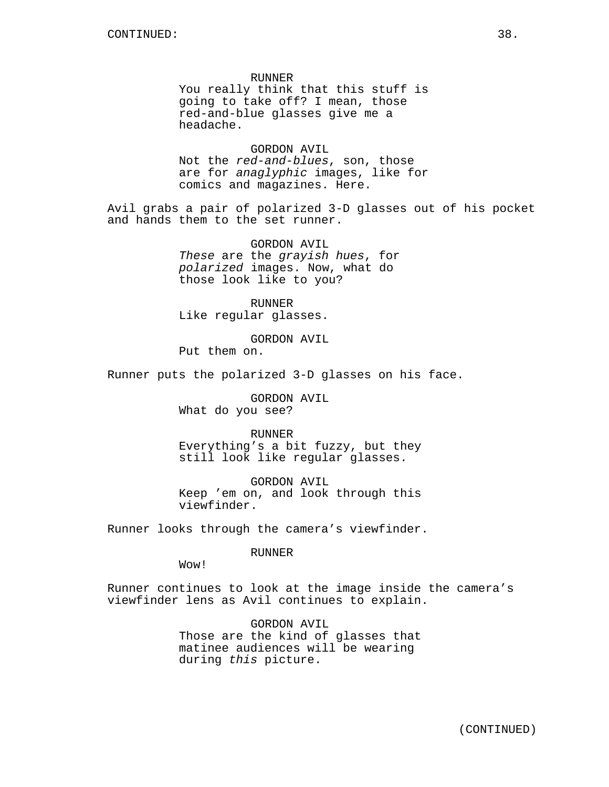RUNNER You really think that this stuff is going to take off? I mean, those red-and-blue glasses give me a headache.

GORDON AVIL Not the *red-and-blues*, son, those are for *anaglyphic* images, like for comics and magazines. Here.

Avil grabs a pair of polarized 3-D glasses out of his pocket and hands them to the set runner.

> GORDON AVIL *These* are the *grayish hues*, for *polarized* images. Now, what do those look like to you?

RUNNER Like regular glasses.

GORDON AVIL Put them on.

Runner puts the polarized 3-D glasses on his face.

GORDON AVIL What do you see?

RUNNER Everything's a bit fuzzy, but they still look like regular glasses.

GORDON AVIL Keep 'em on, and look through this viewfinder.

Runner looks through the camera's viewfinder.

#### RUNNER

Wow!

Runner continues to look at the image inside the camera's viewfinder lens as Avil continues to explain.

> GORDON AVIL Those are the kind of glasses that matinee audiences will be wearing during *this* picture.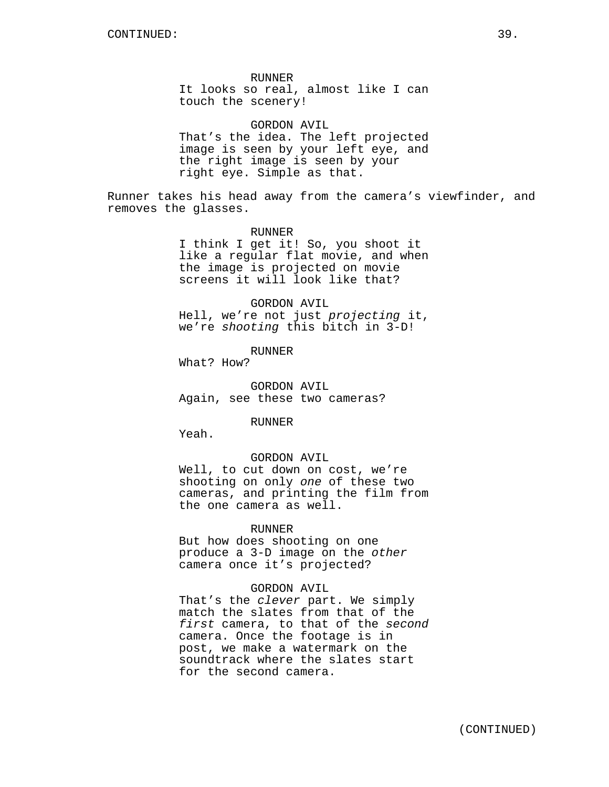## RUNNER

It looks so real, almost like I can touch the scenery!

#### GORDON AVIL

That's the idea. The left projected image is seen by your left eye, and the right image is seen by your right eye. Simple as that.

Runner takes his head away from the camera's viewfinder, and removes the glasses.

# RUNNER I think I get it! So, you shoot it like a regular flat movie, and when the image is projected on movie screens it will look like that?

## GORDON AVIL

Hell, we're not just *projecting* it, we're *shooting* this bitch in 3-D!

RUNNER

What? How?

GORDON AVIL Again, see these two cameras?

#### RUNNER

Yeah.

## GORDON AVIL

Well, to cut down on cost, we're shooting on only *one* of these two cameras, and printing the film from the one camera as well.

### RUNNER

But how does shooting on one produce a 3-D image on the *other* camera once it's projected?

#### GORDON AVIL

That's the *clever* part. We simply match the slates from that of the *first* camera, to that of the *second* camera. Once the footage is in post, we make a watermark on the soundtrack where the slates start for the second camera.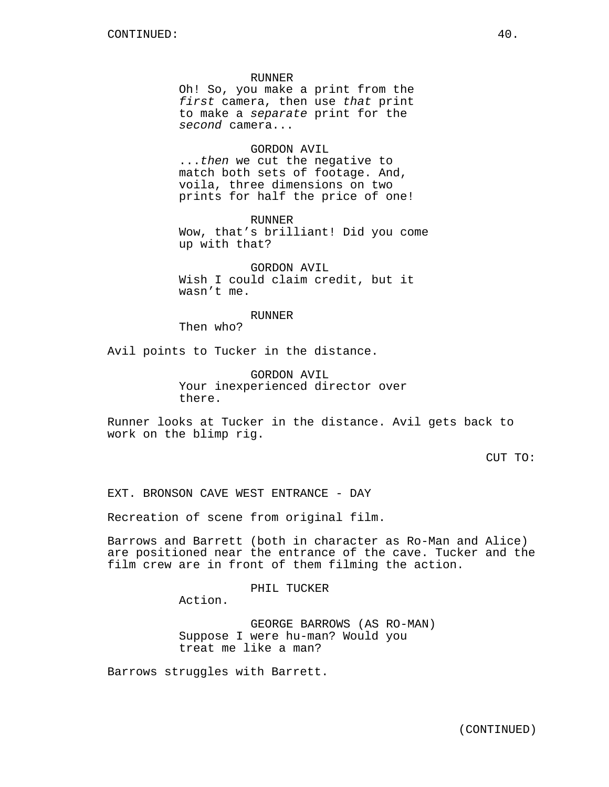#### RUNNER

Oh! So, you make a print from the *first* camera, then use *that* print to make a *separate* print for the *second* camera...

# GORDON AVIL

...*then* we cut the negative to match both sets of footage. And, voila, three dimensions on two prints for half the price of one!

RUNNER Wow, that's brilliant! Did you come up with that?

GORDON AVIL Wish I could claim credit, but it wasn't me.

#### RUNNER

Then who?

Avil points to Tucker in the distance.

GORDON AVIL Your inexperienced director over there.

Runner looks at Tucker in the distance. Avil gets back to work on the blimp rig.

CUT TO:

EXT. BRONSON CAVE WEST ENTRANCE - DAY

Recreation of scene from original film.

Barrows and Barrett (both in character as Ro-Man and Alice) are positioned near the entrance of the cave. Tucker and the film crew are in front of them filming the action.

PHIL TUCKER

Action.

GEORGE BARROWS (AS RO-MAN) Suppose I were hu-man? Would you treat me like a man?

Barrows struggles with Barrett.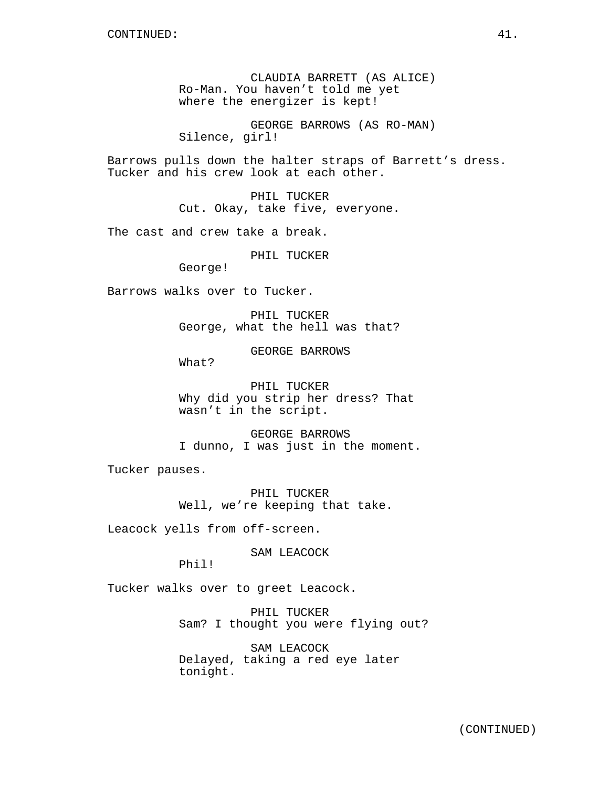CLAUDIA BARRETT (AS ALICE) Ro-Man. You haven't told me yet where the energizer is kept!

GEORGE BARROWS (AS RO-MAN) Silence, girl!

Barrows pulls down the halter straps of Barrett's dress. Tucker and his crew look at each other.

> PHIL TUCKER Cut. Okay, take five, everyone.

The cast and crew take a break.

PHIL TUCKER

George!

Barrows walks over to Tucker.

PHIL TUCKER George, what the hell was that?

GEORGE BARROWS

What?

PHIL TUCKER Why did you strip her dress? That wasn't in the script.

GEORGE BARROWS I dunno, I was just in the moment.

Tucker pauses.

PHIL TUCKER Well, we're keeping that take.

Leacock yells from off-screen.

SAM LEACOCK

Phil!

Tucker walks over to greet Leacock.

PHIL TUCKER Sam? I thought you were flying out?

SAM LEACOCK Delayed, taking a red eye later tonight.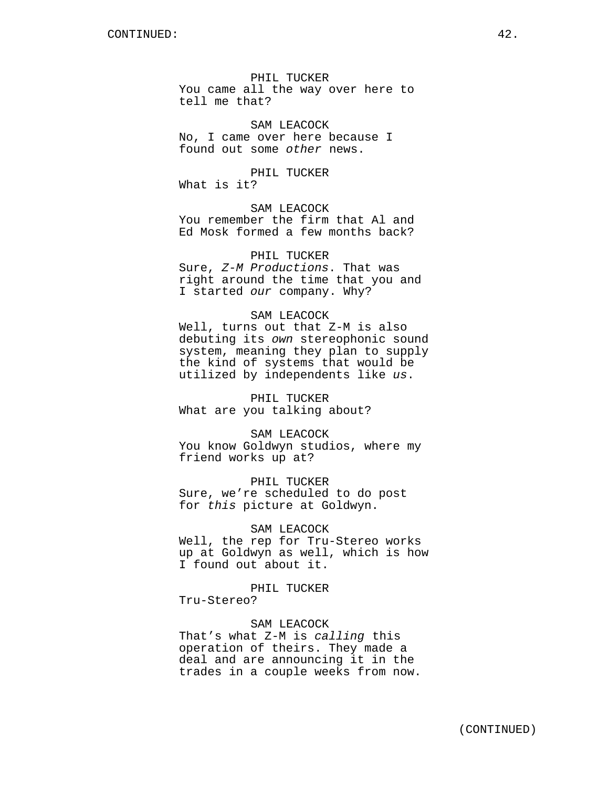PHIL TUCKER You came all the way over here to tell me that?

SAM LEACOCK No, I came over here because I found out some *other* news.

PHIL TUCKER What is it?

SAM LEACOCK You remember the firm that Al and Ed Mosk formed a few months back?

# PHIL TUCKER Sure, *Z-M Productions*. That was right around the time that you and I started *our* company. Why?

## SAM LEACOCK

Well, turns out that Z-M is also debuting its *own* stereophonic sound system, meaning they plan to supply the kind of systems that would be utilized by independents like *us*.

PHIL TUCKER What are you talking about?

SAM LEACOCK You know Goldwyn studios, where my friend works up at?

PHIL TUCKER Sure, we're scheduled to do post for *this* picture at Goldwyn.

## SAM LEACOCK

Well, the rep for Tru-Stereo works up at Goldwyn as well, which is how I found out about it.

## PHIL TUCKER

Tru-Stereo?

#### SAM LEACOCK

That's what Z-M is *calling* this operation of theirs. They made a deal and are announcing it in the trades in a couple weeks from now.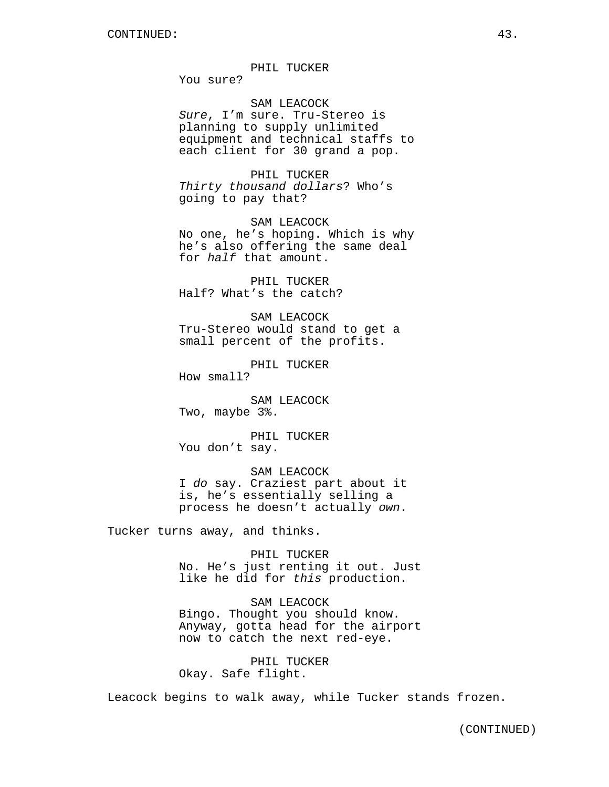#### PHIL TUCKER

You sure?

SAM LEACOCK *Sure*, I'm sure. Tru-Stereo is planning to supply unlimited equipment and technical staffs to each client for 30 grand a pop.

PHIL TUCKER *Thirty thousand dollars*? Who's going to pay that?

SAM LEACOCK No one, he's hoping. Which is why he's also offering the same deal for *half* that amount.

PHIL TUCKER Half? What's the catch?

SAM LEACOCK Tru-Stereo would stand to get a small percent of the profits.

PHIL TUCKER How small?

SAM LEACOCK Two, maybe 3%.

PHIL TUCKER You don't say.

SAM LEACOCK I *do* say. Craziest part about it is, he's essentially selling a process he doesn't actually *own*.

Tucker turns away, and thinks.

PHIL TUCKER No. He's just renting it out. Just like he did for *this* production.

SAM LEACOCK Bingo. Thought you should know. Anyway, gotta head for the airport now to catch the next red-eye.

PHIL TUCKER Okay. Safe flight.

Leacock begins to walk away, while Tucker stands frozen.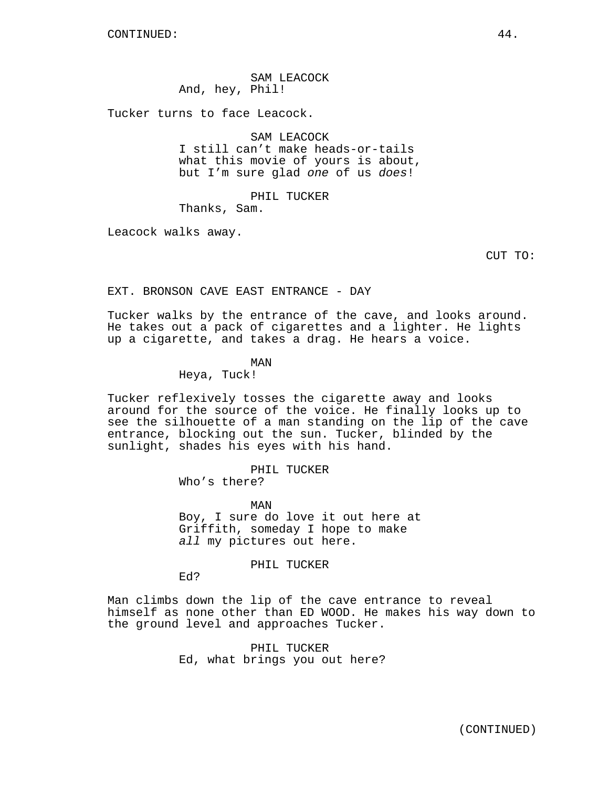SAM LEACOCK And, hey, Phil!

Tucker turns to face Leacock.

SAM LEACOCK

I still can't make heads-or-tails what this movie of yours is about, but I'm sure glad *one* of us *does*!

# PHIL TUCKER

Thanks, Sam.

Leacock walks away.

CUT TO:

EXT. BRONSON CAVE EAST ENTRANCE - DAY

Tucker walks by the entrance of the cave, and looks around. He takes out a pack of cigarettes and a lighter. He lights up a cigarette, and takes a drag. He hears a voice.

# MAN

Heya, Tuck!

Tucker reflexively tosses the cigarette away and looks around for the source of the voice. He finally looks up to see the silhouette of a man standing on the lip of the cave entrance, blocking out the sun. Tucker, blinded by the sunlight, shades his eyes with his hand.

PHIL TUCKER

Who's there?

MAN Boy, I sure do love it out here at Griffith, someday I hope to make *all* my pictures out here.

PHIL TUCKER

Ed?

Man climbs down the lip of the cave entrance to reveal himself as none other than ED WOOD. He makes his way down to the ground level and approaches Tucker.

> PHIL TUCKER Ed, what brings you out here?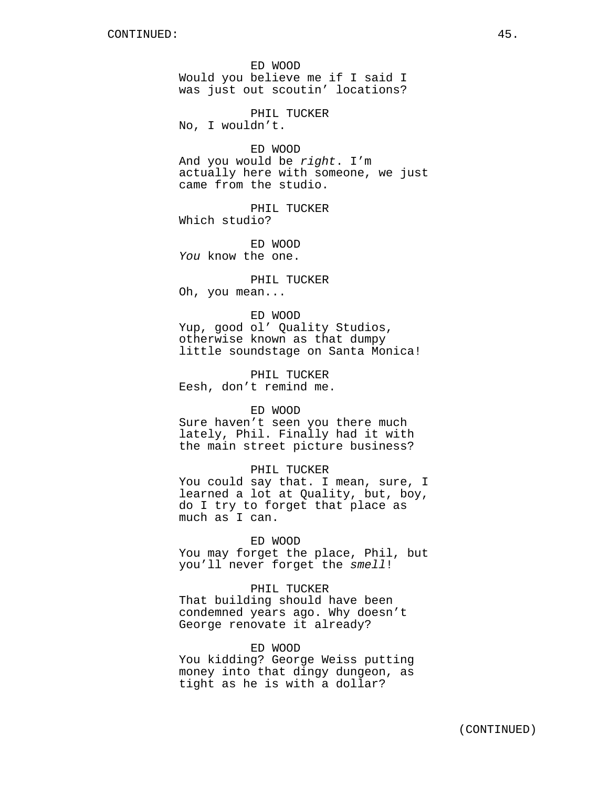ED WOOD Would you believe me if I said I was just out scoutin' locations?

PHIL TUCKER No, I wouldn't.

ED WOOD And you would be *right*. I'm actually here with someone, we just came from the studio.

PHIL TUCKER Which studio?

ED WOOD *You* know the one.

PHIL TUCKER Oh, you mean...

ED WOOD

Yup, good ol' Quality Studios, otherwise known as that dumpy little soundstage on Santa Monica!

PHIL TUCKER Eesh, don't remind me.

ED WOOD

Sure haven't seen you there much lately, Phil. Finally had it with the main street picture business?

PHIL TUCKER You could say that. I mean, sure, I learned a lot at Quality, but, boy, do I try to forget that place as

ED WOOD

much as I can.

You may forget the place, Phil, but you'll never forget the *smell*!

PHIL TUCKER

That building should have been condemned years ago. Why doesn't George renovate it already?

ED WOOD

You kidding? George Weiss putting money into that dingy dungeon, as tight as he is with a dollar?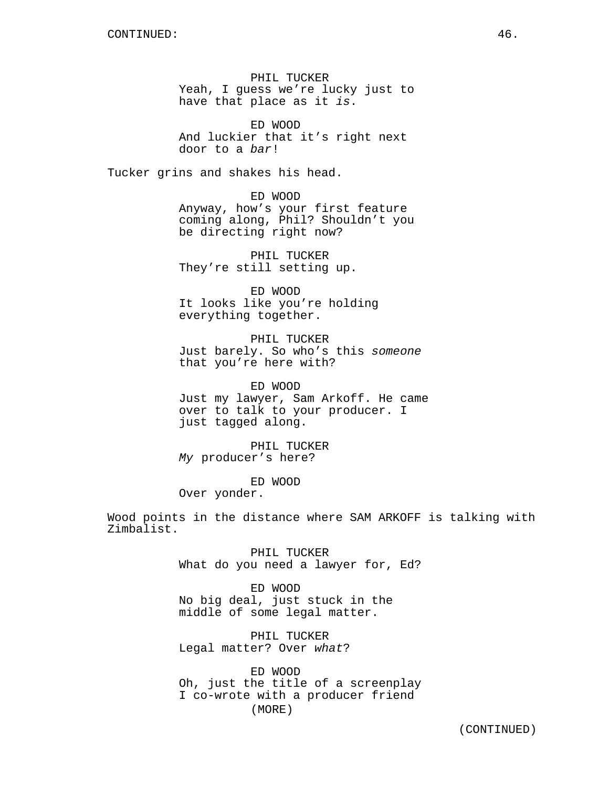PHIL TUCKER Yeah, I guess we're lucky just to have that place as it *is*.

ED WOOD And luckier that it's right next door to a *bar*!

Tucker grins and shakes his head.

ED WOOD Anyway, how's your first feature coming along, Phil? Shouldn't you be directing right now?

PHIL TUCKER They're still setting up.

ED WOOD It looks like you're holding everything together.

PHIL TUCKER Just barely. So who's this *someone* that you're here with?

ED WOOD Just my lawyer, Sam Arkoff. He came over to talk to your producer. I just tagged along.

PHIL TUCKER *My* producer's here?

ED WOOD Over yonder.

Wood points in the distance where SAM ARKOFF is talking with Zimbalist.

> PHIL TUCKER What do you need a lawyer for, Ed?

ED WOOD No big deal, just stuck in the middle of some legal matter.

PHIL TUCKER Legal matter? Over *what*?

ED WOOD Oh, just the title of a screenplay I co-wrote with a producer friend (MORE)

(CONTINUED)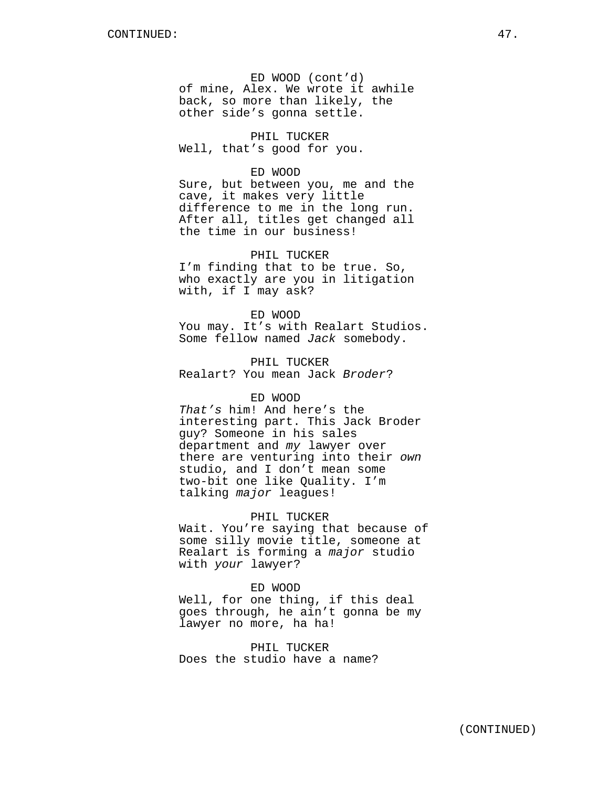ED WOOD (cont'd) of mine, Alex. We wrote it awhile back, so more than likely, the other side's gonna settle.

PHIL TUCKER Well, that's good for you.

## ED WOOD

Sure, but between you, me and the cave, it makes very little difference to me in the long run. After all, titles get changed all the time in our business!

PHIL TUCKER I'm finding that to be true. So, who exactly are you in litigation with, if I may ask?

ED WOOD You may. It's with Realart Studios. Some fellow named *Jack* somebody.

PHIL TUCKER Realart? You mean Jack *Broder*?

#### ED WOOD

*That's* him! And here's the interesting part. This Jack Broder guy? Someone in his sales department and *my* lawyer over there are venturing into their *own* studio, and I don't mean some two-bit one like Quality. I'm talking *major* leagues!

#### PHIL TUCKER

Wait. You're saying that because of some silly movie title, someone at Realart is forming a *major* studio with *your* lawyer?

#### ED WOOD

Well, for one thing, if this deal goes through, he ain't gonna be my lawyer no more, ha ha!

PHIL TUCKER Does the studio have a name?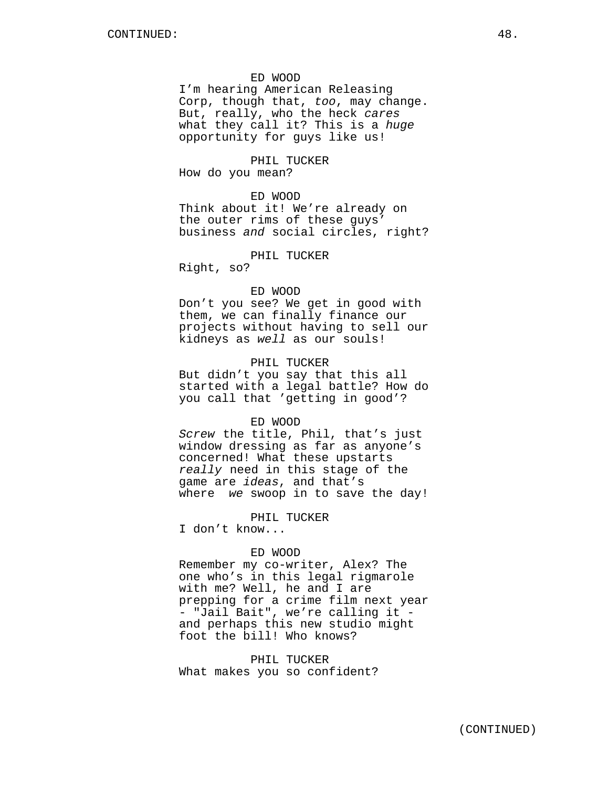## ED WOOD

I'm hearing American Releasing Corp, though that, *too*, may change. But, really, who the heck *cares* what they call it? This is a *huge* opportunity for guys like us!

PHIL TUCKER

How do you mean?

## ED WOOD

Think about it! We're already on the outer rims of these guys' business *and* social circles, right?

## PHIL TUCKER

Right, so?

#### ED WOOD

Don't you see? We get in good with them, we can finally finance our projects without having to sell our kidneys as *well* as our souls!

## PHIL TUCKER

But didn't you say that this all started with a legal battle? How do you call that 'getting in good'?

#### ED WOOD

*Screw* the title, Phil, that's just window dressing as far as anyone's concerned! What these upstarts *really* need in this stage of the game are *ideas*, and that's where *we* swoop in to save the day!

PHIL TUCKER

I don't know...

## ED WOOD

Remember my co-writer, Alex? The one who's in this legal rigmarole with me? Well, he and I are prepping for a crime film next year - "Jail Bait", we're calling it and perhaps this new studio might foot the bill! Who knows?

PHIL TUCKER What makes you so confident?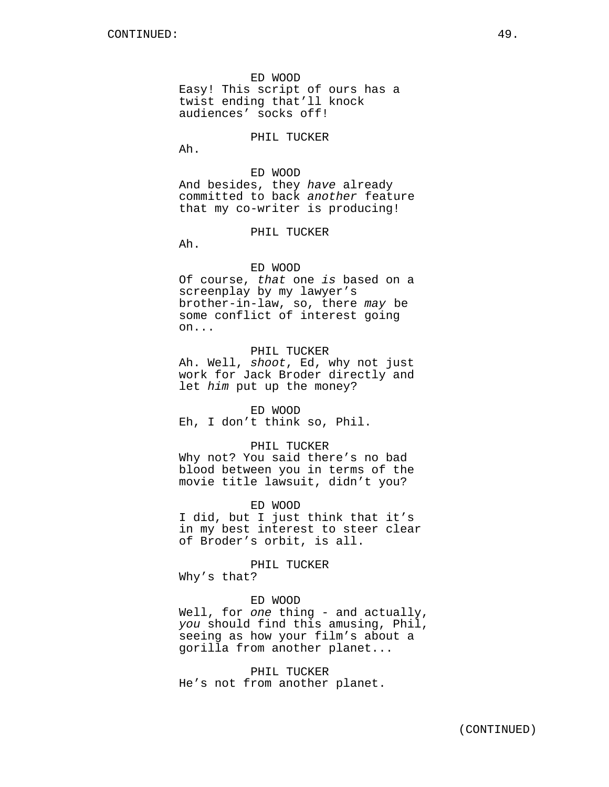ED WOOD Easy! This script of ours has a twist ending that'll knock audiences' socks off!

PHIL TUCKER

Ah.

# ED WOOD And besides, they *have* already committed to back *another* feature that my co-writer is producing!

PHIL TUCKER

Ah.

## ED WOOD

Of course, *that* one *is* based on a screenplay by my lawyer's brother-in-law, so, there *may* be some conflict of interest going on...

# PHIL TUCKER

Ah. Well, *shoot*, Ed, why not just work for Jack Broder directly and let *him* put up the money?

#### ED WOOD

Eh, I don't think so, Phil.

#### PHIL TUCKER

Why not? You said there's no bad blood between you in terms of the movie title lawsuit, didn't you?

#### ED WOOD

I did, but I just think that it's in my best interest to steer clear of Broder's orbit, is all.

PHIL TUCKER

Why's that?

## ED WOOD

Well, for *one* thing - and actually, *you* should find this amusing, Phil, seeing as how your film's about a gorilla from another planet...

PHIL TUCKER He's not from another planet.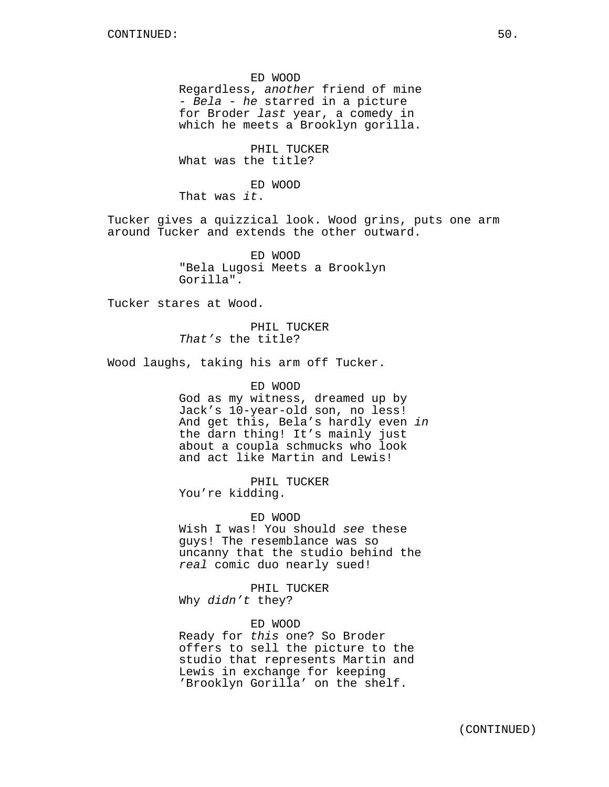ED WOOD Regardless, *another* friend of mine - *Bela* - *he* starred in a picture for Broder *last* year, a comedy in which he meets a Brooklyn gorilla.

PHIL TUCKER What was the title?

ED WOOD

That was *it*.

Tucker gives a quizzical look. Wood grins, puts one arm around Tucker and extends the other outward.

> ED WOOD "Bela Lugosi Meets a Brooklyn Gorilla".

Tucker stares at Wood.

PHIL TUCKER *That's* the title?

Wood laughs, taking his arm off Tucker.

ED WOOD

God as my witness, dreamed up by Jack's 10-year-old son, no less! And get this, Bela's hardly even *in* the darn thing! It's mainly just about a coupla schmucks who look and act like Martin and Lewis!

PHIL TUCKER You're kidding.

ED WOOD

Wish I was! You should *see* these guys! The resemblance was so uncanny that the studio behind the *real* comic duo nearly sued!

PHIL TUCKER Why *didn't* they?

ED WOOD

Ready for *this* one? So Broder offers to sell the picture to the studio that represents Martin and Lewis in exchange for keeping 'Brooklyn Gorilla' on the shelf.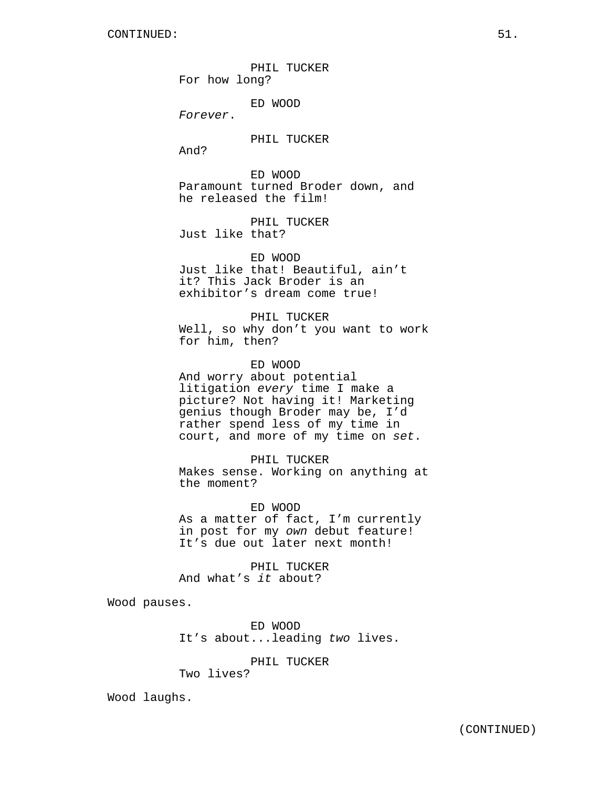PHIL TUCKER For how long?

ED WOOD

*Forever*.

PHIL TUCKER

And?

ED WOOD Paramount turned Broder down, and he released the film!

PHIL TUCKER Just like that?

ED WOOD Just like that! Beautiful, ain't it? This Jack Broder is an exhibitor's dream come true!

PHIL TUCKER Well, so why don't you want to work for him, then?

ED WOOD And worry about potential litigation *every* time I make a picture? Not having it! Marketing genius though Broder may be, I'd rather spend less of my time in court, and more of my time on *set*.

PHIL TUCKER Makes sense. Working on anything at the moment?

ED WOOD As a matter of fact, I'm currently in post for my *own* debut feature! It's due out later next month!

PHIL TUCKER And what's *it* about?

Wood pauses.

ED WOOD It's about...leading *two* lives.

PHIL TUCKER

Two lives?

Wood laughs.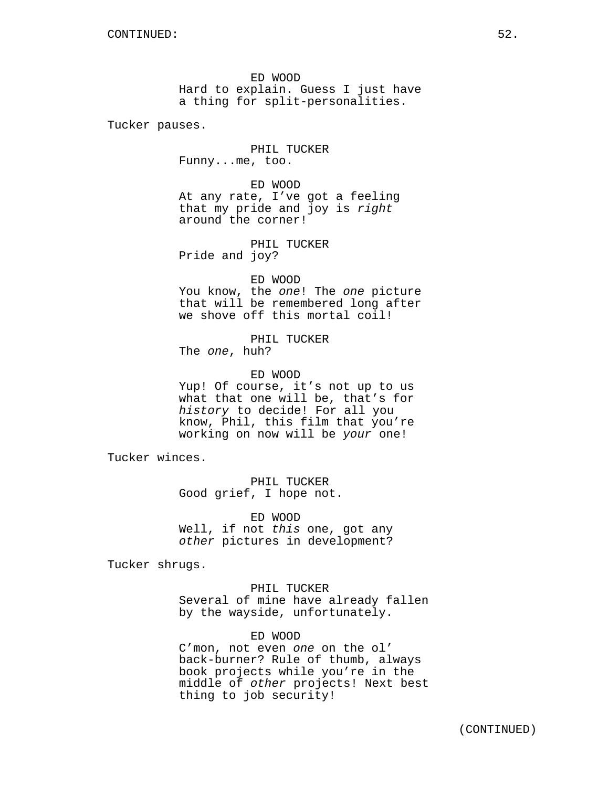ED WOOD Hard to explain. Guess I just have a thing for split-personalities.

Tucker pauses.

PHIL TUCKER Funny...me, too.

ED WOOD At any rate, I've got a feeling that my pride and joy is *right* around the corner!

PHIL TUCKER Pride and joy?

ED WOOD You know, the *one*! The *one* picture that will be remembered long after we shove off this mortal coil!

PHIL TUCKER The *one*, huh?

ED WOOD Yup! Of course, it's not up to us what that one will be, that's for *history* to decide! For all you know, Phil, this film that you're working on now will be *your* one!

Tucker winces.

PHIL TUCKER Good grief, I hope not.

ED WOOD Well, if not *this* one, got any *other* pictures in development?

Tucker shrugs.

PHIL TUCKER Several of mine have already fallen by the wayside, unfortunately.

ED WOOD

C'mon, not even *one* on the ol' back-burner? Rule of thumb, always book projects while you're in the middle of *other* projects! Next best thing to job security!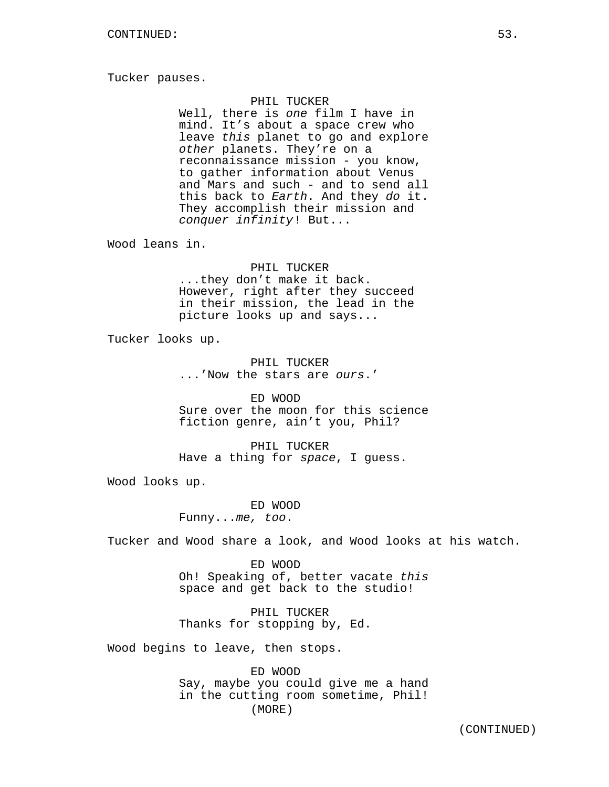Tucker pauses.

## PHIL TUCKER

Well, there is *one* film I have in mind. It's about a space crew who leave *this* planet to go and explore *other* planets. They're on a reconnaissance mission - you know, to gather information about Venus and Mars and such - and to send all this back to *Earth*. And they *do* it. They accomplish their mission and *conquer infinity*! But...

Wood leans in.

PHIL TUCKER ...they don't make it back. However, right after they succeed in their mission, the lead in the picture looks up and says...

Tucker looks up.

PHIL TUCKER ...'Now the stars are *ours*.'

ED WOOD Sure over the moon for this science fiction genre, ain't you, Phil?

PHIL TUCKER Have a thing for *space*, I guess.

Wood looks up.

ED WOOD Funny...*me, too*.

Tucker and Wood share a look, and Wood looks at his watch.

ED WOOD Oh! Speaking of, better vacate *this* space and get back to the studio!

PHIL TUCKER Thanks for stopping by, Ed.

Wood begins to leave, then stops.

ED WOOD Say, maybe you could give me a hand in the cutting room sometime, Phil! (MORE)

(CONTINUED)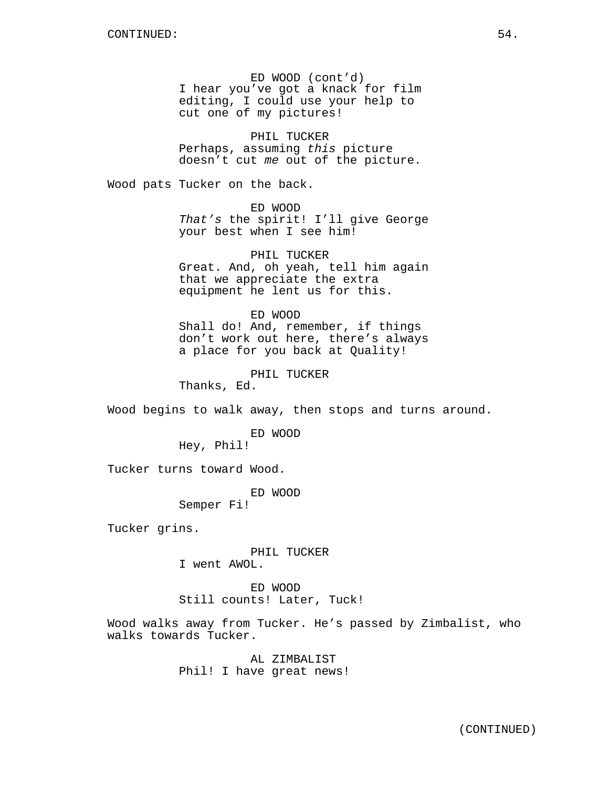ED WOOD (cont'd) I hear you've got a knack for film editing, I could use your help to cut one of my pictures!

PHIL TUCKER Perhaps, assuming *this* picture doesn't cut *me* out of the picture.

Wood pats Tucker on the back.

ED WOOD *That's* the spirit! I'll give George your best when I see him!

PHIL TUCKER Great. And, oh yeah, tell him again that we appreciate the extra equipment he lent us for this.

ED WOOD Shall do! And, remember, if things don't work out here, there's always a place for you back at Quality!

PHIL TUCKER

Thanks, Ed.

Wood begins to walk away, then stops and turns around.

ED WOOD Hey, Phil!

Tucker turns toward Wood.

ED WOOD

Semper Fi!

Tucker grins.

PHIL TUCKER I went AWOL.

ED WOOD Still counts! Later, Tuck!

Wood walks away from Tucker. He's passed by Zimbalist, who walks towards Tucker.

> AL ZIMBALIST Phil! I have great news!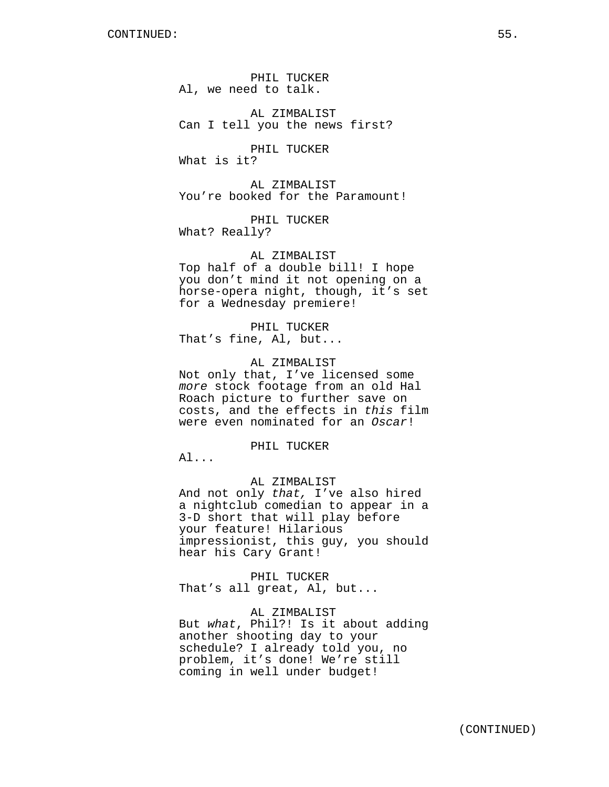PHIL TUCKER Al, we need to talk.

AL ZIMBALIST Can I tell you the news first?

PHIL TUCKER What is it?

AL ZIMBALIST You're booked for the Paramount!

PHIL TUCKER What? Really?

AL ZIMBALIST

Top half of a double bill! I hope you don't mind it not opening on a horse-opera night, though, it's set for a Wednesday premiere!

PHIL TUCKER That's fine, Al, but...

## AL ZIMBALIST

Not only that, I've licensed some *more* stock footage from an old Hal Roach picture to further save on costs, and the effects in *this* film were even nominated for an *Oscar*!

PHIL TUCKER

Al...

# AL ZIMBALIST

And not only *that,* I've also hired a nightclub comedian to appear in a 3-D short that will play before your feature! Hilarious impressionist, this guy, you should hear his Cary Grant!

PHIL TUCKER That's all great, Al, but...

AL ZIMBALIST But *what*, Phil?! Is it about adding another shooting day to your schedule? I already told you, no problem, it's done! We're still coming in well under budget!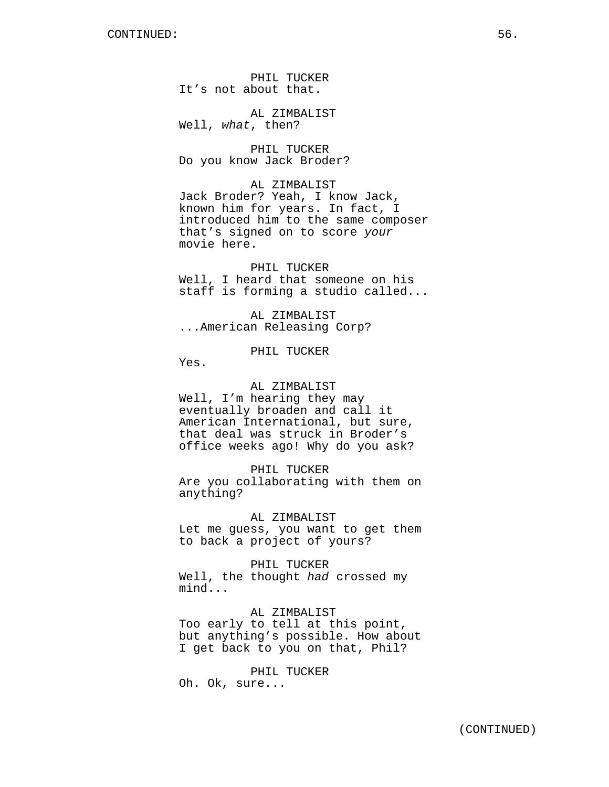PHIL TUCKER It's not about that.

AL ZIMBALIST Well, *what*, then?

PHIL TUCKER Do you know Jack Broder?

AL ZIMBALIST Jack Broder? Yeah, I know Jack, known him for years. In fact, I introduced him to the same composer that's signed on to score *your* movie here.

PHIL TUCKER Well, I heard that someone on his staff is forming a studio called...

AL ZIMBALIST ...American Releasing Corp?

PHIL TUCKER

Yes.

AL ZIMBALIST Well, I'm hearing they may eventually broaden and call it American International, but sure, that deal was struck in Broder's office weeks ago! Why do you ask?

PHIL TUCKER Are you collaborating with them on anything?

AL ZIMBALIST Let me guess, you want to get them to back a project of yours?

PHIL TUCKER Well, the thought *had* crossed my mind...

AL ZIMBALIST Too early to tell at this point, but anything's possible. How about I get back to you on that, Phil?

PHIL TUCKER Oh. Ok, sure...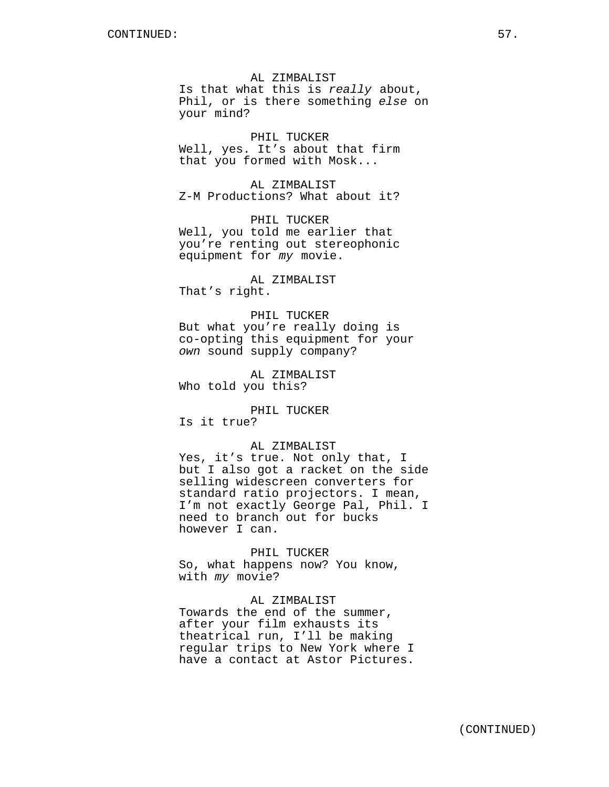AL ZIMBALIST Is that what this is *really* about, Phil, or is there something *else* on your mind?

PHIL TUCKER Well, yes. It's about that firm that you formed with Mosk...

AL ZIMBALIST Z-M Productions? What about it?

PHIL TUCKER Well, you told me earlier that you're renting out stereophonic equipment for *my* movie.

AL ZIMBALIST That's right.

PHIL TUCKER But what you're really doing is co-opting this equipment for your *own* sound supply company?

AL ZIMBALIST Who told you this?

PHIL TUCKER Is it true?

#### AL ZIMBALIST

Yes, it's true. Not only that, I but I also got a racket on the side selling widescreen converters for standard ratio projectors. I mean, I'm not exactly George Pal, Phil. I need to branch out for bucks however I can.

PHIL TUCKER So, what happens now? You know, with *my* movie?

#### AL ZIMBALIST

Towards the end of the summer, after your film exhausts its theatrical run, I'll be making regular trips to New York where I have a contact at Astor Pictures.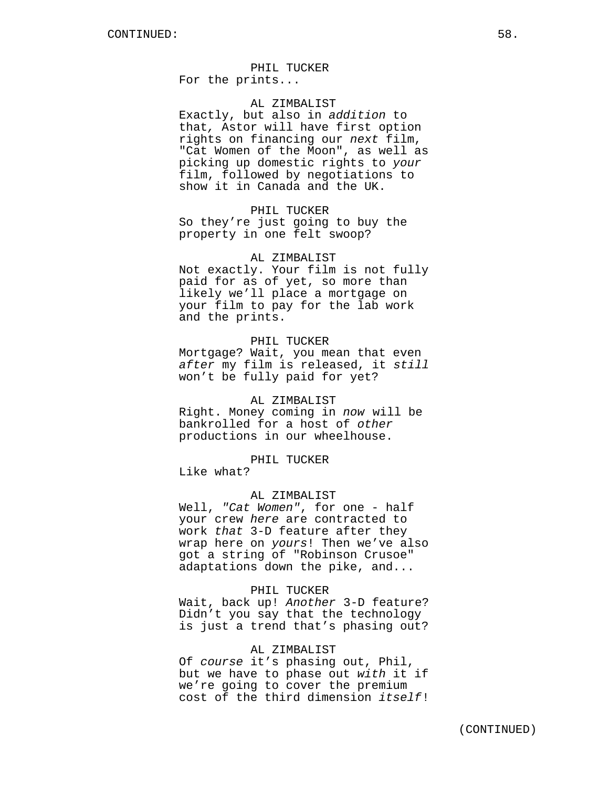#### PHIL TUCKER

For the prints...

# AL ZIMBALIST

Exactly, but also in *addition* to that*,* Astor will have first option rights on financing our *next* film, "Cat Women of the Moon", as well as picking up domestic rights to *your* film, followed by negotiations to show it in Canada and the UK.

## PHIL TUCKER

So they're just going to buy the property in one felt swoop?

## AL ZIMBALIST

Not exactly. Your film is not fully paid for as of yet, so more than likely we'll place a mortgage on your film to pay for the lab work and the prints.

# PHIL TUCKER

Mortgage? Wait, you mean that even *after* my film is released, it *still* won't be fully paid for yet?

#### AL ZIMBALIST

Right. Money coming in *now* will be bankrolled for a host of *other* productions in our wheelhouse.

## PHIL TUCKER

Like what?

## AL ZIMBALIST

Well, *"Cat Women"*, for one - half your crew *here* are contracted to work *that* 3-D feature after they wrap here on *yours*! Then we've also got a string of "Robinson Crusoe" adaptations down the pike, and...

#### PHIL TUCKER

Wait, back up! *Another* 3-D feature? Didn't you say that the technology is just a trend that's phasing out?

#### AL ZIMBALIST

Of *course* it's phasing out, Phil, but we have to phase out *with* it if we're going to cover the premium cost of the third dimension *itself*!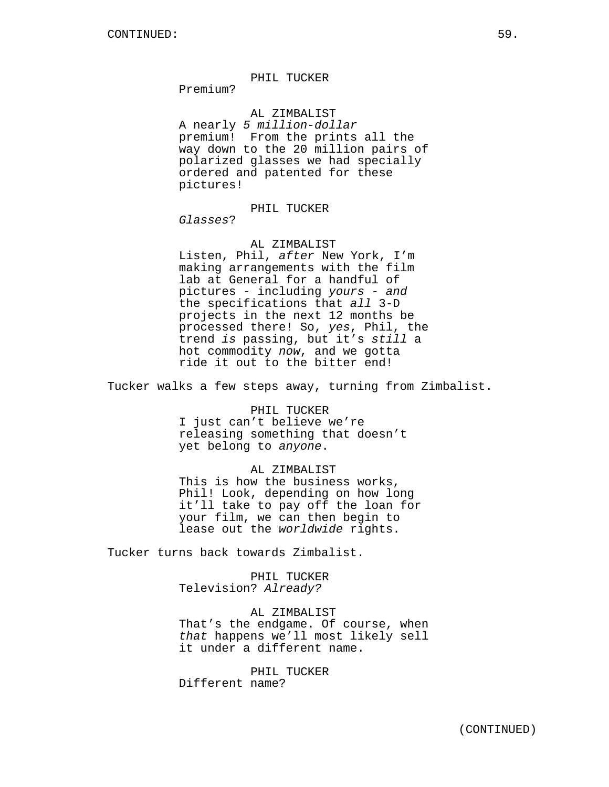## PHIL TUCKER

Premium?

AL ZIMBALIST A nearly *5 million-dollar* premium! From the prints all the way down to the 20 million pairs of polarized glasses we had specially ordered and patented for these pictures!

# PHIL TUCKER

*Glasses*?

# AL ZIMBALIST

Listen, Phil, *after* New York, I'm making arrangements with the film lab at General for a handful of pictures - including *yours* - *and* the specifications that *all* 3-D projects in the next 12 months be processed there! So, *yes*, Phil, the trend *is* passing, but it's *still* a hot commodity *now*, and we gotta ride it out to the bitter end!

Tucker walks a few steps away, turning from Zimbalist.

# PHIL TUCKER

I just can't believe we're releasing something that doesn't yet belong to *anyone*.

# AL ZIMBALIST

This is how the business works, Phil! Look, depending on how long it'll take to pay off the loan for your film, we can then begin to lease out the *worldwide* rights.

Tucker turns back towards Zimbalist.

PHIL TUCKER Television? *Already?*

AL ZIMBALIST That's the endgame. Of course, when *that* happens we'll most likely sell it under a different name.

PHIL TUCKER Different name?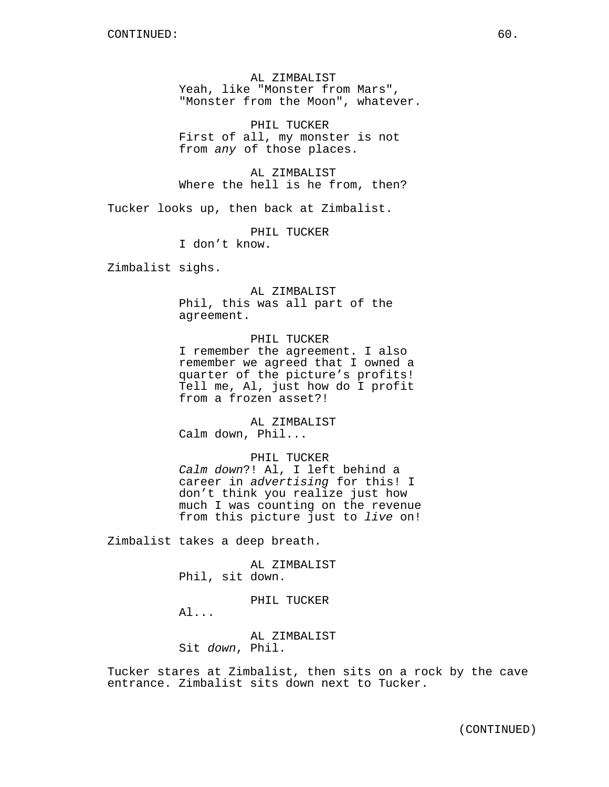AL ZIMBALIST Yeah, like "Monster from Mars", "Monster from the Moon", whatever.

PHIL TUCKER First of all, my monster is not from *any* of those places.

AL ZIMBALIST Where the hell is he from, then?

Tucker looks up, then back at Zimbalist.

PHIL TUCKER I don't know.

Zimbalist sighs.

AL ZIMBALIST Phil, this was all part of the agreement.

PHIL TUCKER I remember the agreement. I also remember we agreed that I owned a quarter of the picture's profits! Tell me, Al, just how do I profit from a frozen asset?!

AL ZIMBALIST Calm down, Phil...

PHIL TUCKER *Calm down*?! Al, I left behind a career in *advertising* for this! I don't think you realize just how much I was counting on the revenue from this picture just to *live* on!

Zimbalist takes a deep breath.

AL ZIMBALIST Phil, sit down.

PHIL TUCKER

Al...

AL ZIMBALIST Sit *down*, Phil.

Tucker stares at Zimbalist, then sits on a rock by the cave entrance. Zimbalist sits down next to Tucker.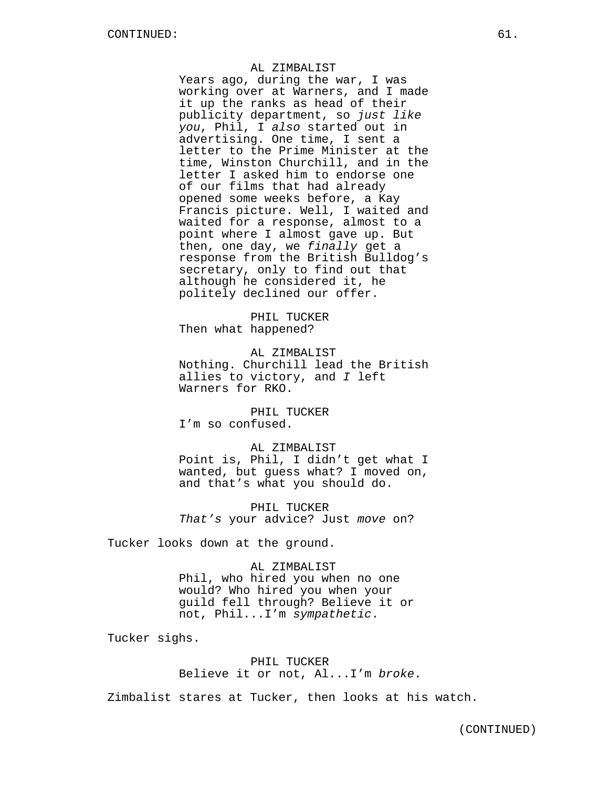#### AL ZIMBALIST

Years ago, during the war, I was working over at Warners, and I made it up the ranks as head of their publicity department, so *just like you*, Phil, I *also* started out in advertising. One time, I sent a letter to the Prime Minister at the time, Winston Churchill, and in the letter I asked him to endorse one of our films that had already opened some weeks before, a Kay Francis picture. Well, I waited and waited for a response, almost to a point where I almost gave up. But then, one day, we *finally* get a response from the British Bulldog's secretary, only to find out that although he considered it, he politely declined our offer.

PHIL TUCKER Then what happened?

AL ZIMBALIST Nothing. Churchill lead the British allies to victory, and *I* left Warners for RKO.

PHIL TUCKER I'm so confused.

AL ZIMBALIST Point is, Phil, I didn't get what I wanted, but guess what? I moved on, and that's what you should do.

PHIL TUCKER *That's* your advice? Just *move* on?

Tucker looks down at the ground.

AL ZIMBALIST Phil, who hired you when no one would? Who hired you when your guild fell through? Believe it or not, Phil...I'm *sympathetic*.

Tucker sighs.

PHIL TUCKER Believe it or not, Al...I'm *broke*.

Zimbalist stares at Tucker, then looks at his watch.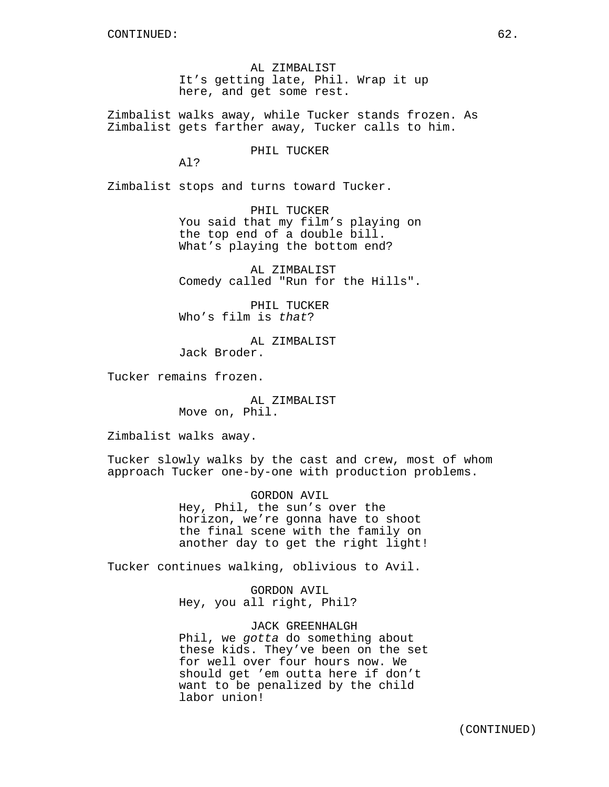AL ZIMBALIST It's getting late, Phil. Wrap it up here, and get some rest.

Zimbalist walks away, while Tucker stands frozen. As Zimbalist gets farther away, Tucker calls to him.

PHIL TUCKER

Al?

Zimbalist stops and turns toward Tucker.

PHIL TUCKER You said that my film's playing on the top end of a double bill. What's playing the bottom end?

AL ZIMBALIST Comedy called "Run for the Hills".

PHIL TUCKER Who's film is *that*?

AL ZIMBALIST Jack Broder.

Tucker remains frozen.

AL ZIMBALIST Move on, Phil.

Zimbalist walks away.

Tucker slowly walks by the cast and crew, most of whom approach Tucker one-by-one with production problems.

> GORDON AVIL Hey, Phil, the sun's over the horizon, we're gonna have to shoot the final scene with the family on another day to get the right light!

Tucker continues walking, oblivious to Avil.

GORDON AVIL Hey, you all right, Phil?

JACK GREENHALGH Phil, we *gotta* do something about these kids. They've been on the set for well over four hours now. We should get 'em outta here if don't want to be penalized by the child labor union!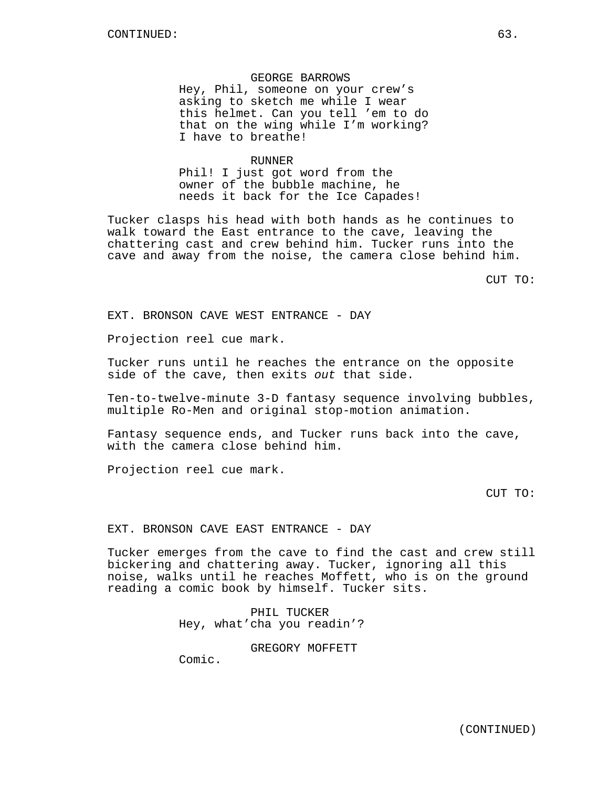# GEORGE BARROWS

Hey, Phil, someone on your crew's asking to sketch me while I wear this helmet. Can you tell 'em to do that on the wing while I'm working? I have to breathe!

#### RUNNER

Phil! I just got word from the owner of the bubble machine, he needs it back for the Ice Capades!

Tucker clasps his head with both hands as he continues to walk toward the East entrance to the cave, leaving the chattering cast and crew behind him. Tucker runs into the cave and away from the noise, the camera close behind him.

CUT TO:

EXT. BRONSON CAVE WEST ENTRANCE - DAY

Projection reel cue mark.

Tucker runs until he reaches the entrance on the opposite side of the cave, then exits *out* that side.

Ten-to-twelve-minute 3-D fantasy sequence involving bubbles, multiple Ro-Men and original stop-motion animation.

Fantasy sequence ends, and Tucker runs back into the cave, with the camera close behind him.

Projection reel cue mark.

CUT TO:

#### EXT. BRONSON CAVE EAST ENTRANCE - DAY

Tucker emerges from the cave to find the cast and crew still bickering and chattering away. Tucker, ignoring all this noise, walks until he reaches Moffett, who is on the ground reading a comic book by himself. Tucker sits.

> PHIL TUCKER Hey, what'cha you readin'?

> > GREGORY MOFFETT

Comic.

(CONTINUED)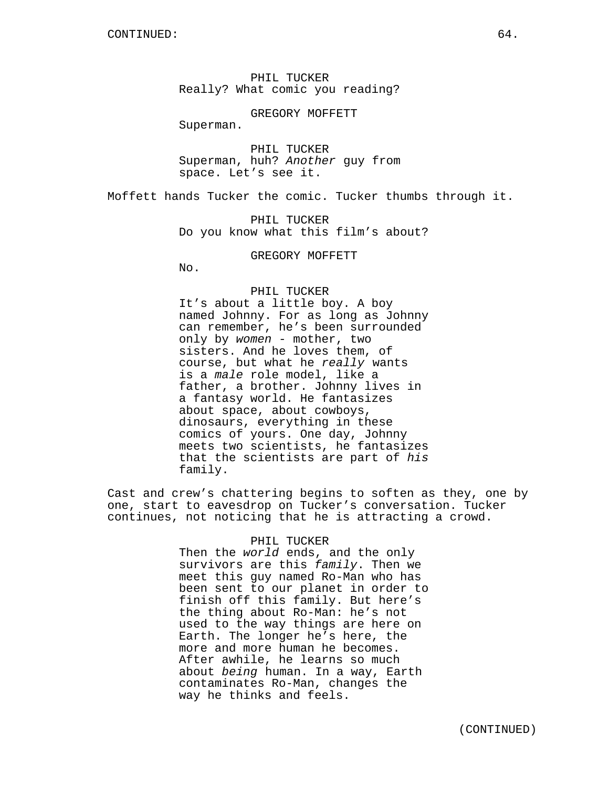PHIL TUCKER Really? What comic you reading?

GREGORY MOFFETT

Superman.

PHIL TUCKER Superman, huh? *Another* guy from space. Let's see it.

Moffett hands Tucker the comic. Tucker thumbs through it.

PHIL TUCKER Do you know what this film's about?

GREGORY MOFFETT

No.

#### PHIL TUCKER

It's about a little boy. A boy named Johnny. For as long as Johnny can remember, he's been surrounded only by *women* - mother, two sisters. And he loves them, of course, but what he *really* wants is a *male* role model, like a father, a brother. Johnny lives in a fantasy world. He fantasizes about space, about cowboys, dinosaurs, everything in these comics of yours. One day, Johnny meets two scientists, he fantasizes that the scientists are part of *his* family.

Cast and crew's chattering begins to soften as they, one by one, start to eavesdrop on Tucker's conversation. Tucker continues, not noticing that he is attracting a crowd.

# PHIL TUCKER

Then the *world* ends, and the only survivors are this *family*. Then we meet this guy named Ro-Man who has been sent to our planet in order to finish off this family. But here's the thing about Ro-Man: he's not used to the way things are here on Earth. The longer he's here, the more and more human he becomes. After awhile, he learns so much about *being* human. In a way, Earth contaminates Ro-Man, changes the way he thinks and feels.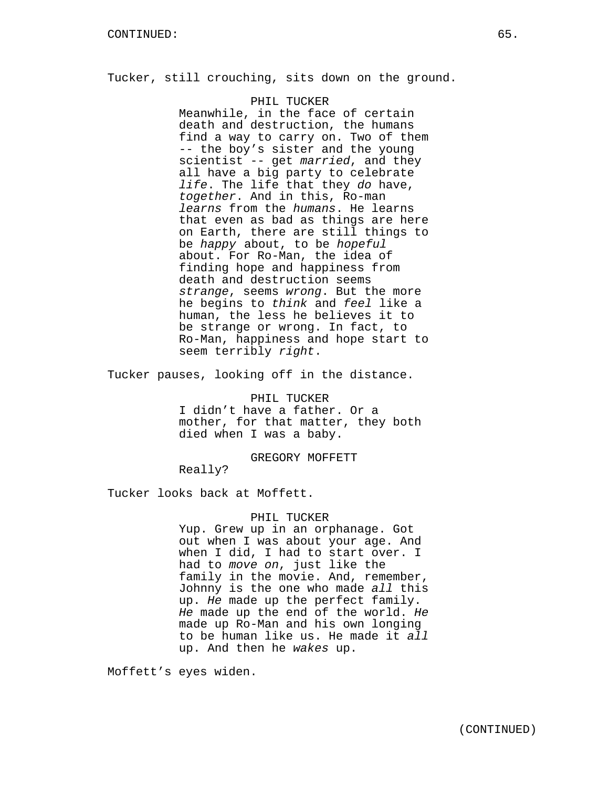Tucker, still crouching, sits down on the ground.

## PHIL TUCKER

Meanwhile, in the face of certain death and destruction, the humans find a way to carry on. Two of them -- the boy's sister and the young scientist -- get *married*, and they all have a big party to celebrate *life*. The life that they *do* have, *together*. And in this, Ro-man *learns* from the *humans*. He learns that even as bad as things are here on Earth, there are still things to be *happy* about, to be *hopeful* about. For Ro-Man, the idea of finding hope and happiness from death and destruction seems *strange*, seems *wrong*. But the more he begins to *think* and *feel* like a human, the less he believes it to be strange or wrong. In fact, to Ro-Man, happiness and hope start to seem terribly *right*.

Tucker pauses, looking off in the distance.

PHIL TUCKER I didn't have a father. Or a mother, for that matter, they both died when I was a baby.

GREGORY MOFFETT

Really?

Tucker looks back at Moffett.

## PHIL TUCKER

Yup. Grew up in an orphanage. Got out when I was about your age. And when I did, I had to start over. I had to *move on*, just like the family in the movie. And, remember, Johnny is the one who made *all* this up. *He* made up the perfect family. *He* made up the end of the world. *He* made up Ro-Man and his own longing to be human like us. He made it *all* up. And then he *wakes* up.

Moffett's eyes widen.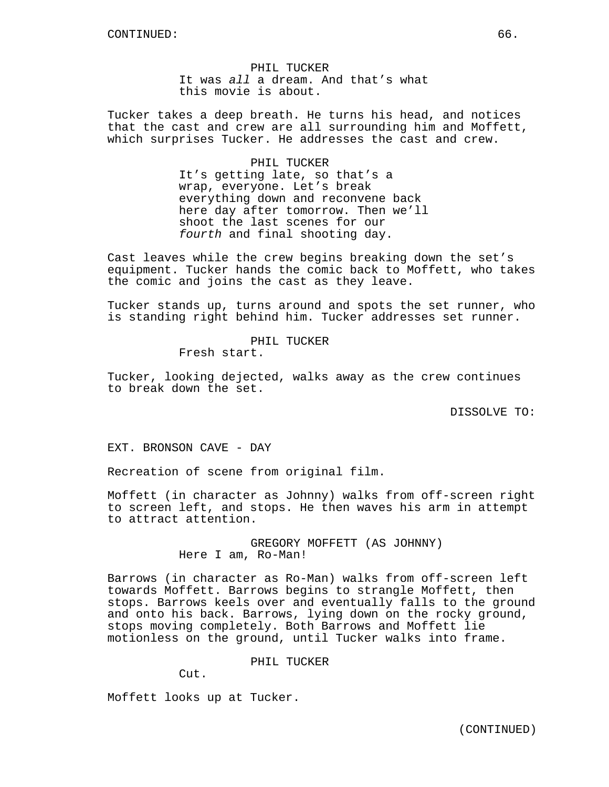PHIL TUCKER It was *all* a dream. And that's what this movie is about.

Tucker takes a deep breath. He turns his head, and notices that the cast and crew are all surrounding him and Moffett, which surprises Tucker. He addresses the cast and crew.

PHIL TUCKER

It's getting late, so that's a wrap, everyone. Let's break everything down and reconvene back here day after tomorrow. Then we'll shoot the last scenes for our *fourth* and final shooting day.

Cast leaves while the crew begins breaking down the set's equipment. Tucker hands the comic back to Moffett, who takes the comic and joins the cast as they leave.

Tucker stands up, turns around and spots the set runner, who is standing right behind him. Tucker addresses set runner.

> PHIL TUCKER Fresh start.

Tucker, looking dejected, walks away as the crew continues to break down the set.

DISSOLVE TO:

EXT. BRONSON CAVE - DAY

Recreation of scene from original film.

Moffett (in character as Johnny) walks from off-screen right to screen left, and stops. He then waves his arm in attempt to attract attention.

> GREGORY MOFFETT (AS JOHNNY) Here I am, Ro-Man!

Barrows (in character as Ro-Man) walks from off-screen left towards Moffett. Barrows begins to strangle Moffett, then stops. Barrows keels over and eventually falls to the ground and onto his back. Barrows, lying down on the rocky ground, stops moving completely. Both Barrows and Moffett lie motionless on the ground, until Tucker walks into frame.

PHIL TUCKER

Cut.

Moffett looks up at Tucker.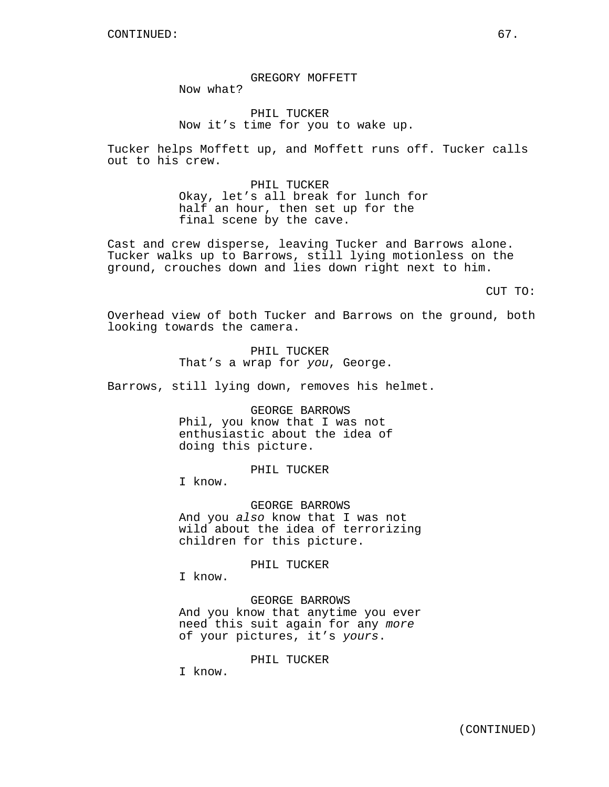GREGORY MOFFETT Now what?

PHIL TUCKER Now it's time for you to wake up.

Tucker helps Moffett up, and Moffett runs off. Tucker calls out to his crew.

> PHIL TUCKER Okay, let's all break for lunch for half an hour, then set up for the final scene by the cave.

Cast and crew disperse, leaving Tucker and Barrows alone. Tucker walks up to Barrows, still lying motionless on the ground, crouches down and lies down right next to him.

CUT TO:

Overhead view of both Tucker and Barrows on the ground, both looking towards the camera.

> PHIL TUCKER That's a wrap for *you*, George.

Barrows, still lying down, removes his helmet.

GEORGE BARROWS Phil, you know that I was not enthusiastic about the idea of doing this picture.

PHIL TUCKER

I know.

GEORGE BARROWS And you *also* know that I was not wild about the idea of terrorizing children for this picture.

PHIL TUCKER

I know.

GEORGE BARROWS And you know that anytime you ever need this suit again for any *more* of your pictures, it's *yours*.

PHIL TUCKER

I know.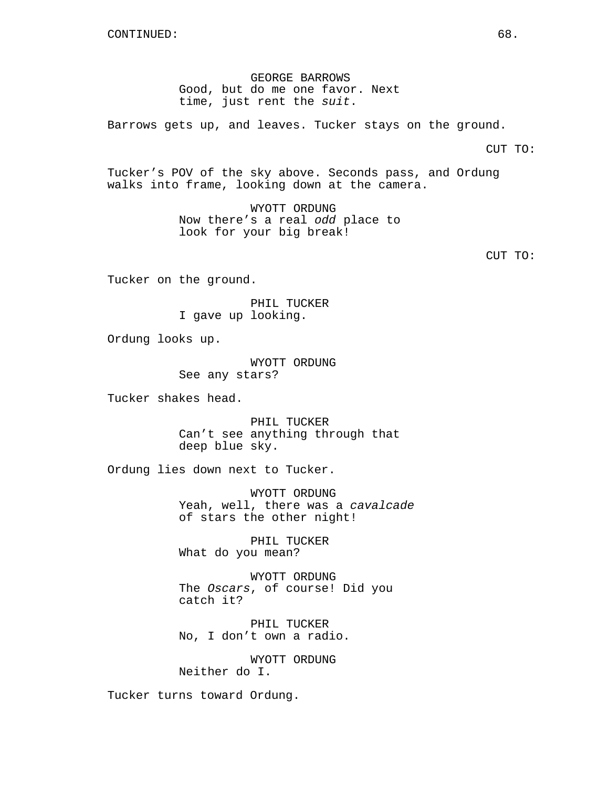GEORGE BARROWS Good, but do me one favor. Next time, just rent the *suit*.

Barrows gets up, and leaves. Tucker stays on the ground.

CUT TO:

Tucker's POV of the sky above. Seconds pass, and Ordung walks into frame, looking down at the camera.

> WYOTT ORDUNG Now there's a real *odd* place to look for your big break!

> > CUT TO:

Tucker on the ground.

PHIL TUCKER I gave up looking.

Ordung looks up.

WYOTT ORDUNG See any stars?

Tucker shakes head.

PHIL TUCKER Can't see anything through that deep blue sky.

Ordung lies down next to Tucker.

WYOTT ORDUNG Yeah, well, there was a *cavalcade* of stars the other night!

PHIL TUCKER What do you mean?

WYOTT ORDUNG The *Oscars*, of course! Did you catch it?

PHIL TUCKER No, I don't own a radio.

WYOTT ORDUNG Neither do I.

Tucker turns toward Ordung.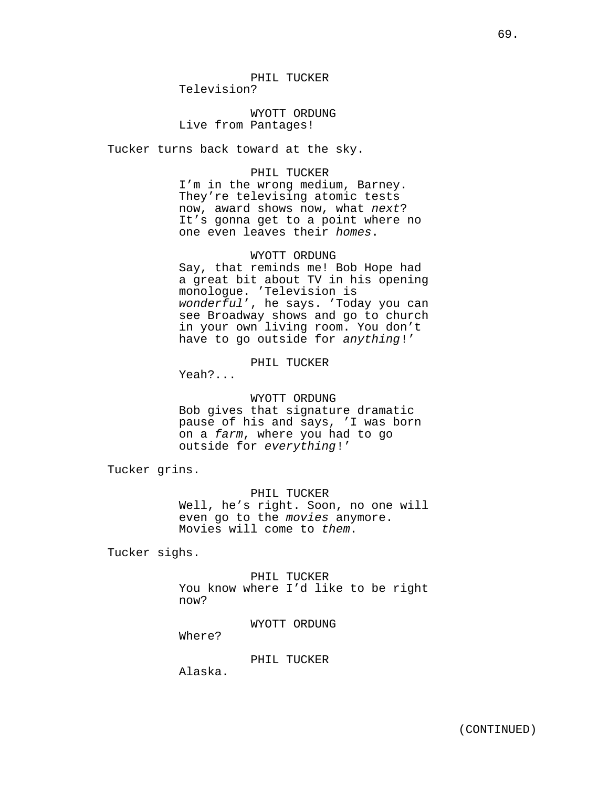PHIL TUCKER Television?

WYOTT ORDUNG Live from Pantages!

Tucker turns back toward at the sky.

## PHIL TUCKER

I'm in the wrong medium, Barney. They're televising atomic tests now, award shows now, what *next*? It's gonna get to a point where no one even leaves their *homes*.

## WYOTT ORDUNG

Say, that reminds me! Bob Hope had a great bit about TV in his opening monologue. 'Television is *wonderful*', he says. 'Today you can see Broadway shows and go to church in your own living room. You don't have to go outside for *anything*!'

# PHIL TUCKER

Yeah?...

# WYOTT ORDUNG

Bob gives that signature dramatic pause of his and says, 'I was born on a *farm*, where you had to go outside for *everything*!'

Tucker grins.

#### PHIL TUCKER

Well, he's right. Soon, no one will even go to the *movies* anymore. Movies will come to *them*.

Tucker sighs.

PHIL TUCKER You know where I'd like to be right now?

WYOTT ORDUNG

Where?

PHIL TUCKER

Alaska.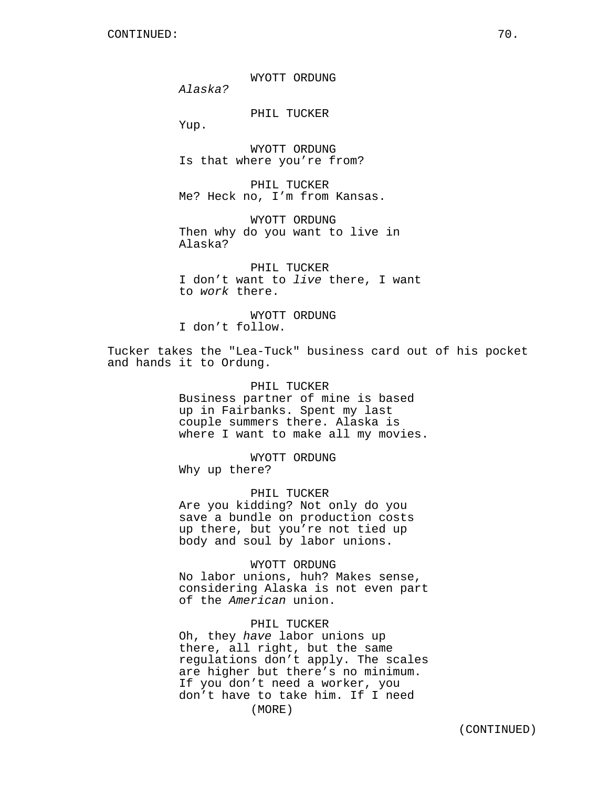WYOTT ORDUNG

*Alaska?*

PHIL TUCKER

Yup.

WYOTT ORDUNG Is that where you're from?

PHIL TUCKER Me? Heck no, I'm from Kansas.

WYOTT ORDUNG Then why do you want to live in Alaska?

PHIL TUCKER I don't want to *live* there, I want to *work* there.

WYOTT ORDUNG I don't follow.

Tucker takes the "Lea-Tuck" business card out of his pocket and hands it to Ordung.

> PHIL TUCKER Business partner of mine is based up in Fairbanks. Spent my last couple summers there. Alaska is where I want to make all my movies.

WYOTT ORDUNG Why up there?

PHIL TUCKER

Are you kidding? Not only do you save a bundle on production costs up there, but you're not tied up body and soul by labor unions.

WYOTT ORDUNG No labor unions, huh? Makes sense, considering Alaska is not even part of the *American* union.

# PHIL TUCKER

Oh, they *have* labor unions up there, all right, but the same regulations don't apply. The scales are higher but there's no minimum. If you don't need a worker, you don't have to take him. If I need (MORE)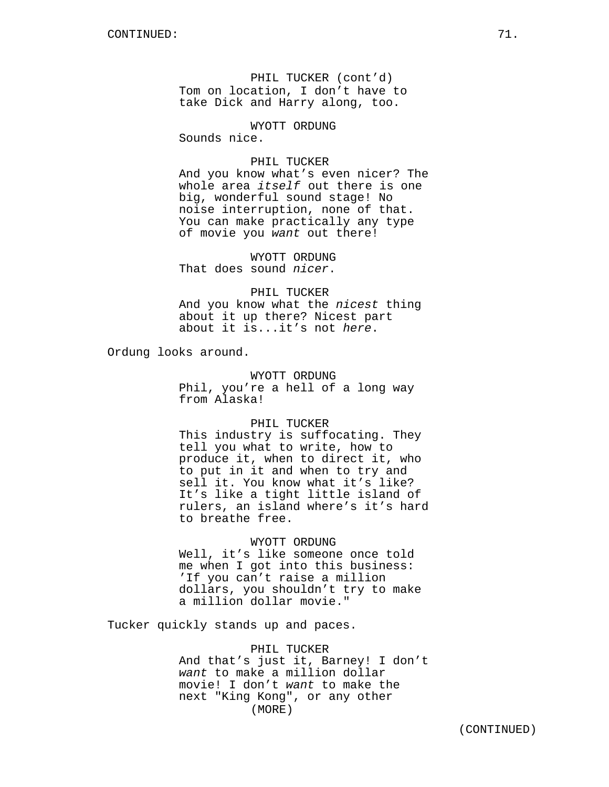PHIL TUCKER (cont'd) Tom on location, I don't have to take Dick and Harry along, too.

WYOTT ORDUNG

Sounds nice.

## PHIL TUCKER

And you know what's even nicer? The whole area *itself* out there is one big, wonderful sound stage! No noise interruption, none of that. You can make practically any type of movie you *want* out there!

WYOTT ORDUNG That does sound *nicer*.

PHIL TUCKER And you know what the *nicest* thing about it up there? Nicest part about it is...it's not *here*.

Ordung looks around.

WYOTT ORDUNG

Phil, you're a hell of a long way from Alaska!

#### PHIL TUCKER

This industry is suffocating. They tell you what to write, how to produce it, when to direct it, who to put in it and when to try and sell it. You know what it's like? It's like a tight little island of rulers, an island where's it's hard to breathe free.

## WYOTT ORDUNG

Well, it's like someone once told me when I got into this business: 'If you can't raise a million dollars, you shouldn't try to make a million dollar movie."

Tucker quickly stands up and paces.

PHIL TUCKER And that's just it, Barney! I don't *want* to make a million dollar movie! I don't *want* to make the next "King Kong", or any other (MORE)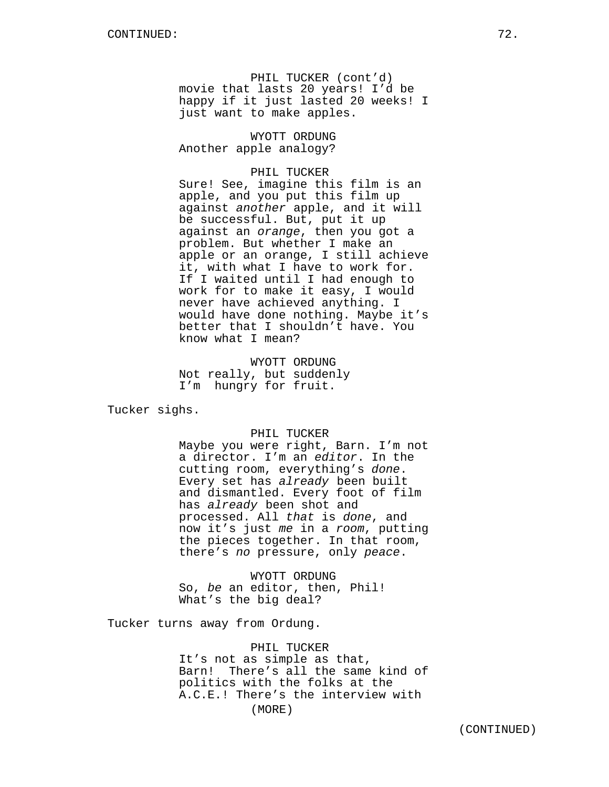PHIL TUCKER (cont'd) movie that lasts 20 years! I'd be happy if it just lasted 20 weeks! I just want to make apples.

WYOTT ORDUNG Another apple analogy?

# PHIL TUCKER

Sure! See, imagine this film is an apple, and you put this film up against *another* apple, and it will be successful. But, put it up against an *orange*, then you got a problem. But whether I make an apple or an orange, I still achieve it, with what I have to work for. If I waited until I had enough to work for to make it easy, I would never have achieved anything. I would have done nothing. Maybe it's better that I shouldn't have. You know what I mean?

WYOTT ORDUNG Not really, but suddenly I'm hungry for fruit.

Tucker sighs.

## PHIL TUCKER

Maybe you were right, Barn. I'm not a director. I'm an *editor*. In the cutting room, everything's *done*. Every set has *already* been built and dismantled. Every foot of film has *already* been shot and processed. All *that* is *done*, and now it's just *me* in a *room*, putting the pieces together. In that room, there's *no* pressure, only *peace*.

WYOTT ORDUNG So, *be* an editor, then, Phil! What's the big deal?

Tucker turns away from Ordung.

PHIL TUCKER It's not as simple as that, Barn! There's all the same kind of politics with the folks at the A.C.E.! There's the interview with (MORE)

(CONTINUED)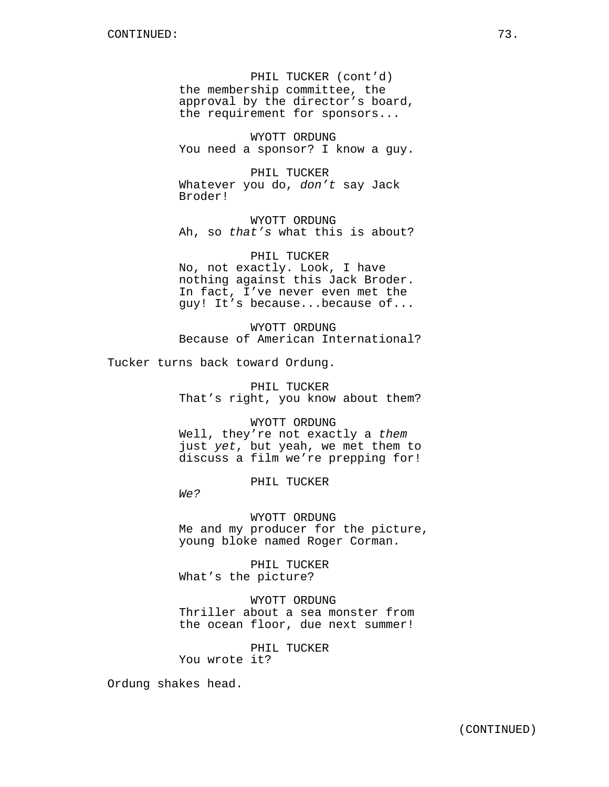PHIL TUCKER (cont'd) the membership committee, the approval by the director's board, the requirement for sponsors...

WYOTT ORDUNG You need a sponsor? I know a guy.

PHIL TUCKER Whatever you do, *don't* say Jack Broder!

WYOTT ORDUNG Ah, so *that's* what this is about?

PHIL TUCKER No, not exactly. Look, I have nothing against this Jack Broder. In fact, I've never even met the guy! It's because...because of...

WYOTT ORDUNG Because of American International?

Tucker turns back toward Ordung.

PHIL TUCKER That's right, you know about them?

WYOTT ORDUNG Well, they're not exactly a *them* just *yet*, but yeah, we met them to discuss a film we're prepping for!

PHIL TUCKER

*We?*

WYOTT ORDUNG Me and my producer for the picture, young bloke named Roger Corman.

PHIL TUCKER What's the picture?

WYOTT ORDUNG Thriller about a sea monster from the ocean floor, due next summer!

PHIL TUCKER You wrote it?

Ordung shakes head.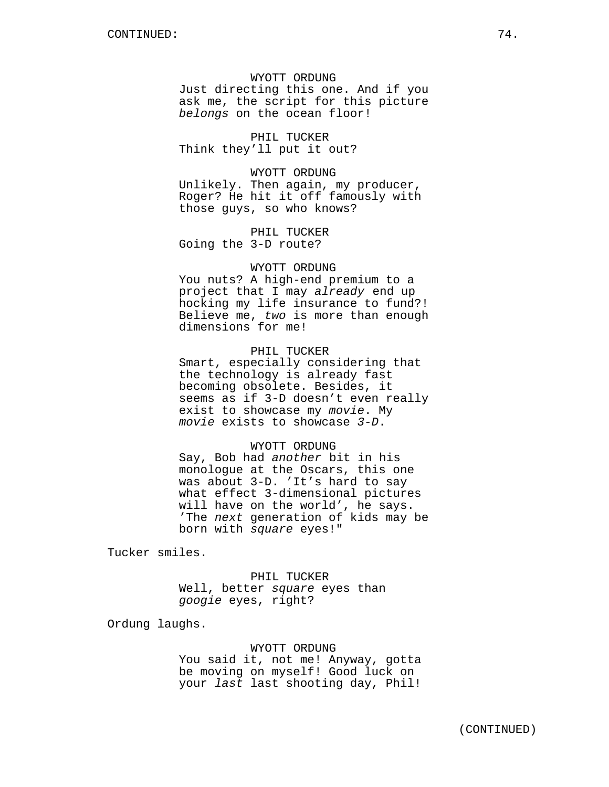WYOTT ORDUNG Just directing this one. And if you ask me, the script for this picture *belongs* on the ocean floor!

PHIL TUCKER Think they'll put it out?

WYOTT ORDUNG Unlikely. Then again, my producer, Roger? He hit it off famously with those guys, so who knows?

PHIL TUCKER Going the 3-D route?

## WYOTT ORDUNG

You nuts? A high-end premium to a project that I may *already* end up hocking my life insurance to fund?! Believe me, *two* is more than enough dimensions for me!

# PHIL TUCKER

Smart, especially considering that the technology is already fast becoming obsolete. Besides, it seems as if 3-D doesn't even really exist to showcase my *movie*. My *movie* exists to showcase *3-D*.

## WYOTT ORDUNG

Say, Bob had *another* bit in his monologue at the Oscars, this one was about 3-D. 'It's hard to say what effect 3-dimensional pictures will have on the world', he says. 'The *next* generation of kids may be born with *square* eyes!"

Tucker smiles.

PHIL TUCKER Well, better *square* eyes than *googie* eyes, right?

Ordung laughs.

WYOTT ORDUNG You said it, not me! Anyway, gotta be moving on myself! Good luck on your *last* last shooting day, Phil!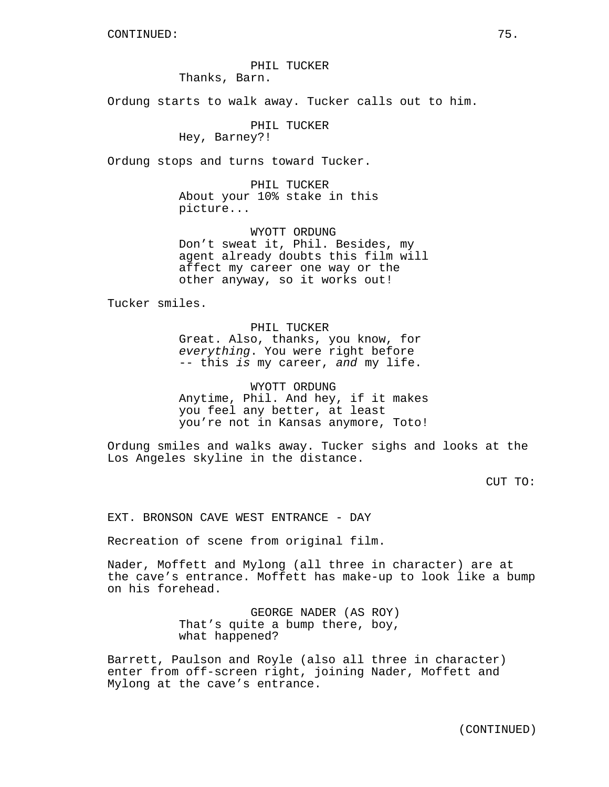# PHIL TUCKER Thanks, Barn.

Ordung starts to walk away. Tucker calls out to him.

PHIL TUCKER

Hey, Barney?!

Ordung stops and turns toward Tucker.

PHIL TUCKER About your 10% stake in this picture...

WYOTT ORDUNG Don't sweat it, Phil. Besides, my agent already doubts this film will affect my career one way or the other anyway, so it works out!

Tucker smiles.

PHIL TUCKER Great. Also, thanks, you know, for *everything*. You were right before -- this *is* my career, *and* my life.

WYOTT ORDUNG Anytime, Phil. And hey, if it makes you feel any better, at least you're not in Kansas anymore, Toto!

Ordung smiles and walks away. Tucker sighs and looks at the Los Angeles skyline in the distance.

CUT TO:

EXT. BRONSON CAVE WEST ENTRANCE - DAY

Recreation of scene from original film.

Nader, Moffett and Mylong (all three in character) are at the cave's entrance. Moffett has make-up to look like a bump on his forehead.

> GEORGE NADER (AS ROY) That's quite a bump there, boy, what happened?

Barrett, Paulson and Royle (also all three in character) enter from off-screen right, joining Nader, Moffett and Mylong at the cave's entrance.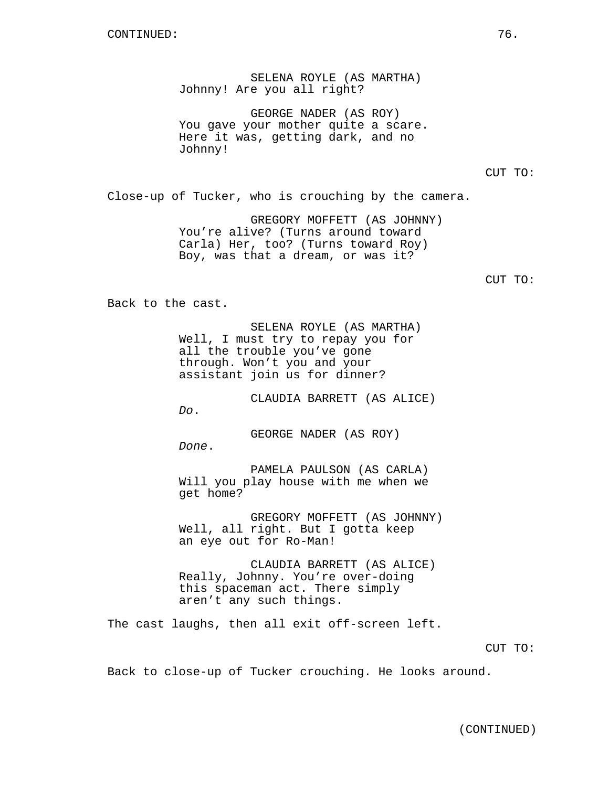SELENA ROYLE (AS MARTHA) Johnny! Are you all right?

GEORGE NADER (AS ROY) You gave your mother quite a scare. Here it was, getting dark, and no Johnny!

CUT TO:

Close-up of Tucker, who is crouching by the camera.

GREGORY MOFFETT (AS JOHNNY) You're alive? (Turns around toward Carla) Her, too? (Turns toward Roy) Boy, was that a dream, or was it?

CUT TO:

Back to the cast.

SELENA ROYLE (AS MARTHA) Well, I must try to repay you for all the trouble you've gone through. Won't you and your assistant join us for dinner?

CLAUDIA BARRETT (AS ALICE) *Do*.

GEORGE NADER (AS ROY) *Done*.

PAMELA PAULSON (AS CARLA) Will you play house with me when we get home?

GREGORY MOFFETT (AS JOHNNY) Well, all right. But I gotta keep an eye out for Ro-Man!

CLAUDIA BARRETT (AS ALICE) Really, Johnny. You're over-doing this spaceman act. There simply aren't any such things.

The cast laughs, then all exit off-screen left.

CUT TO:

Back to close-up of Tucker crouching. He looks around.